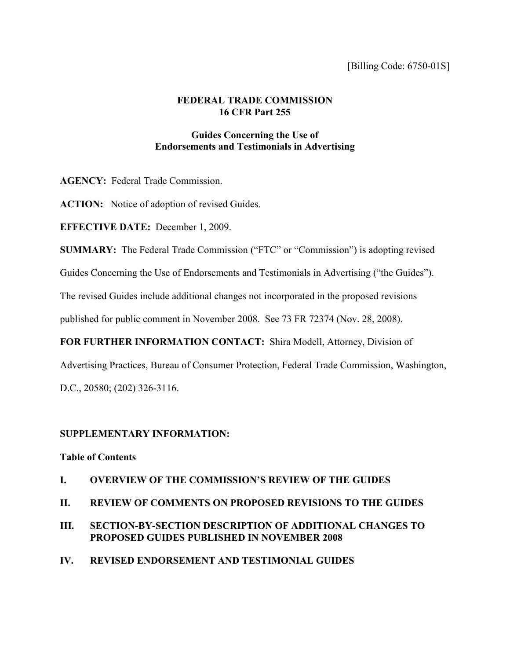# **FEDERAL TRADE COMMISSION 16 CFR Part 255**

# **Guides Concerning the Use of Endorsements and Testimonials in Advertising**

**AGENCY:** Federal Trade Commission.

**ACTION:** Notice of adoption of revised Guides.

**EFFECTIVE DATE:** December 1, 2009.

**SUMMARY:** The Federal Trade Commission ("FTC" or "Commission") is adopting revised

Guides Concerning the Use of Endorsements and Testimonials in Advertising ("the Guides").

The revised Guides include additional changes not incorporated in the proposed revisions

published for public comment in November 2008. See 73 FR 72374 (Nov. 28, 2008).

**FOR FURTHER INFORMATION CONTACT:** Shira Modell, Attorney, Division of

Advertising Practices, Bureau of Consumer Protection, Federal Trade Commission, Washington,

D.C., 20580; (202) 326-3116.

# **SUPPLEMENTARY INFORMATION:**

### **Table of Contents**

# **I. OVERVIEW OF THE COMMISSION'S REVIEW OF THE GUIDES**

- **II. REVIEW OF COMMENTS ON PROPOSED REVISIONS TO THE GUIDES**
- **III. SECTION-BY-SECTION DESCRIPTION OF ADDITIONAL CHANGES TO PROPOSED GUIDES PUBLISHED IN NOVEMBER 2008**
- **IV. REVISED ENDORSEMENT AND TESTIMONIAL GUIDES**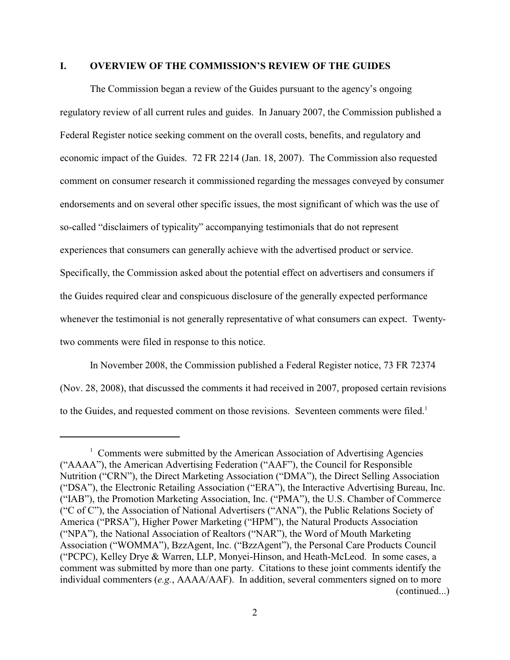### **I. OVERVIEW OF THE COMMISSION'S REVIEW OF THE GUIDES**

The Commission began a review of the Guides pursuant to the agency's ongoing regulatory review of all current rules and guides. In January 2007, the Commission published a Federal Register notice seeking comment on the overall costs, benefits, and regulatory and economic impact of the Guides. 72 FR 2214 (Jan. 18, 2007). The Commission also requested comment on consumer research it commissioned regarding the messages conveyed by consumer endorsements and on several other specific issues, the most significant of which was the use of so-called "disclaimers of typicality" accompanying testimonials that do not represent experiences that consumers can generally achieve with the advertised product or service. Specifically, the Commission asked about the potential effect on advertisers and consumers if the Guides required clear and conspicuous disclosure of the generally expected performance whenever the testimonial is not generally representative of what consumers can expect. Twentytwo comments were filed in response to this notice.

In November 2008, the Commission published a Federal Register notice, 73 FR 72374 (Nov. 28, 2008), that discussed the comments it had received in 2007, proposed certain revisions to the Guides, and requested comment on those revisions. Seventeen comments were filed.<sup>1</sup>

<sup>&</sup>lt;sup>1</sup> Comments were submitted by the American Association of Advertising Agencies ("AAAA"), the American Advertising Federation ("AAF"), the Council for Responsible Nutrition ("CRN"), the Direct Marketing Association ("DMA"), the Direct Selling Association ("DSA"), the Electronic Retailing Association ("ERA"), the Interactive Advertising Bureau, Inc. ("IAB"), the Promotion Marketing Association, Inc. ("PMA"), the U.S. Chamber of Commerce ("C of C"), the Association of National Advertisers ("ANA"), the Public Relations Society of America ("PRSA"), Higher Power Marketing ("HPM"), the Natural Products Association ("NPA"), the National Association of Realtors ("NAR"), the Word of Mouth Marketing Association ("WOMMA"), BzzAgent, Inc. ("BzzAgent"), the Personal Care Products Council ("PCPC), Kelley Drye & Warren, LLP, Monyei-Hinson, and Heath-McLeod. In some cases, a comment was submitted by more than one party. Citations to these joint comments identify the individual commenters (*e.g.*, AAAA/AAF). In addition, several commenters signed on to more (continued...)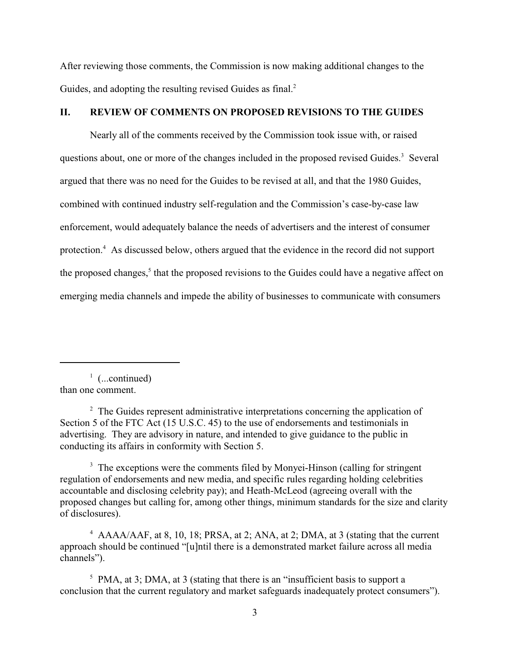After reviewing those comments, the Commission is now making additional changes to the Guides, and adopting the resulting revised Guides as final.<sup>2</sup>

### **II. REVIEW OF COMMENTS ON PROPOSED REVISIONS TO THE GUIDES**

Nearly all of the comments received by the Commission took issue with, or raised questions about, one or more of the changes included in the proposed revised Guides.<sup>3</sup> Several argued that there was no need for the Guides to be revised at all, and that the 1980 Guides, combined with continued industry self-regulation and the Commission's case-by-case law enforcement, would adequately balance the needs of advertisers and the interest of consumer protection. $4$  As discussed below, others argued that the evidence in the record did not support the proposed changes, $\delta$  that the proposed revisions to the Guides could have a negative affect on emerging media channels and impede the ability of businesses to communicate with consumers

 $\frac{1}{1}$  (...continued) than one comment.

 $2\degree$  The Guides represent administrative interpretations concerning the application of Section 5 of the FTC Act (15 U.S.C. 45) to the use of endorsements and testimonials in advertising. They are advisory in nature, and intended to give guidance to the public in conducting its affairs in conformity with Section 5.

 $3\text{ The exceptions were the comments filed by Monyei-Hinson (calling for stringent)}$ regulation of endorsements and new media, and specific rules regarding holding celebrities accountable and disclosing celebrity pay); and Heath-McLeod (agreeing overall with the proposed changes but calling for, among other things, minimum standards for the size and clarity of disclosures).

 $4$  AAAA/AAF, at 8, 10, 18; PRSA, at 2; ANA, at 2; DMA, at 3 (stating that the current approach should be continued "[u]ntil there is a demonstrated market failure across all media channels").

 $5$  PMA, at 3; DMA, at 3 (stating that there is an "insufficient basis to support a conclusion that the current regulatory and market safeguards inadequately protect consumers").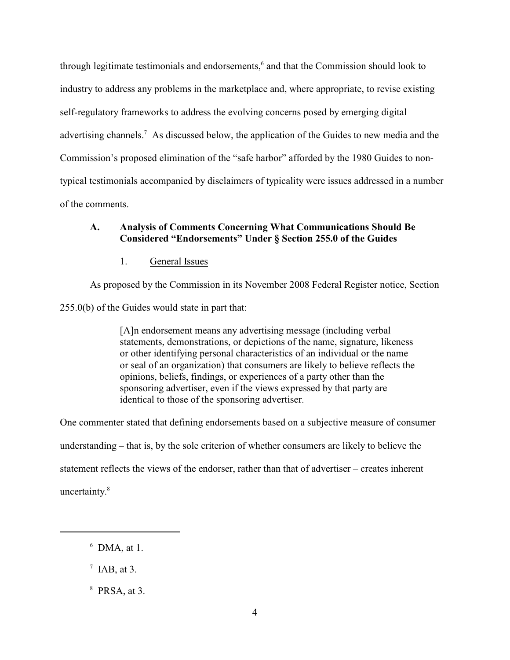through legitimate testimonials and endorsements, $<sup>6</sup>$  and that the Commission should look to</sup> industry to address any problems in the marketplace and, where appropriate, to revise existing self-regulatory frameworks to address the evolving concerns posed by emerging digital advertising channels.<sup>7</sup> As discussed below, the application of the Guides to new media and the Commission's proposed elimination of the "safe harbor" afforded by the 1980 Guides to nontypical testimonials accompanied by disclaimers of typicality were issues addressed in a number of the comments.

## **A. Analysis of Comments Concerning What Communications Should Be Considered "Endorsements" Under § Section 255.0 of the Guides**

### 1. General Issues

As proposed by the Commission in its November 2008 Federal Register notice, Section 255.0(b) of the Guides would state in part that:

> [A]n endorsement means any advertising message (including verbal statements, demonstrations, or depictions of the name, signature, likeness or other identifying personal characteristics of an individual or the name or seal of an organization) that consumers are likely to believe reflects the opinions, beliefs, findings, or experiences of a party other than the sponsoring advertiser, even if the views expressed by that party are

One commenter stated that defining endorsements based on a subjective measure of consumer

understanding – that is, by the sole criterion of whether consumers are likely to believe the

identical to those of the sponsoring advertiser.

statement reflects the views of the endorser, rather than that of advertiser – creates inherent

uncertainty.8

- $6$  DMA, at 1.
- $<sup>7</sup>$  IAB, at 3.</sup>
- $8$  PRSA, at 3.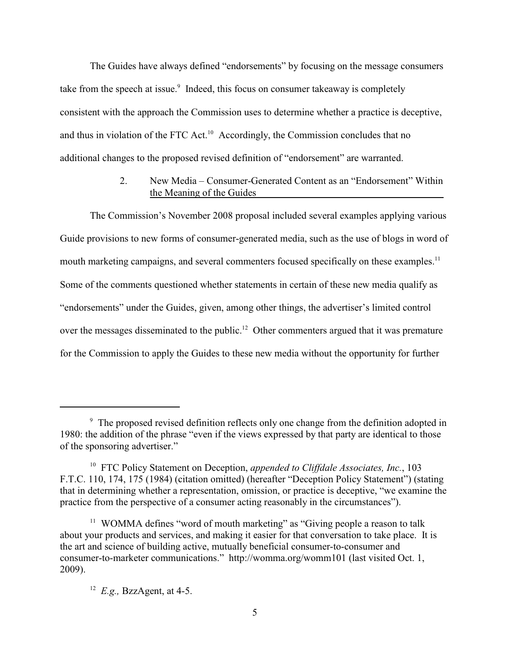The Guides have always defined "endorsements" by focusing on the message consumers take from the speech at issue. $9$  Indeed, this focus on consumer takeaway is completely consistent with the approach the Commission uses to determine whether a practice is deceptive, and thus in violation of the FTC Act.<sup>10</sup> Accordingly, the Commission concludes that no additional changes to the proposed revised definition of "endorsement" are warranted.

## 2. New Media – Consumer-Generated Content as an "Endorsement" Within the Meaning of the Guides

The Commission's November 2008 proposal included several examples applying various Guide provisions to new forms of consumer-generated media, such as the use of blogs in word of mouth marketing campaigns, and several commenters focused specifically on these examples.<sup>11</sup> Some of the comments questioned whether statements in certain of these new media qualify as "endorsements" under the Guides, given, among other things, the advertiser's limited control over the messages disseminated to the public.<sup>12</sup> Other commenters argued that it was premature for the Commission to apply the Guides to these new media without the opportunity for further

 $\degree$  The proposed revised definition reflects only one change from the definition adopted in 1980: the addition of the phrase "even if the views expressed by that party are identical to those of the sponsoring advertiser."

<sup>&</sup>lt;sup>10</sup> FTC Policy Statement on Deception, *appended to Cliffdale Associates, Inc.*, 103 F.T.C. 110, 174, 175 (1984) (citation omitted) (hereafter "Deception Policy Statement") (stating that in determining whether a representation, omission, or practice is deceptive, "we examine the practice from the perspective of a consumer acting reasonably in the circumstances").

 $11$  WOMMA defines "word of mouth marketing" as "Giving people a reason to talk about your products and services, and making it easier for that conversation to take place. It is the art and science of building active, mutually beneficial consumer-to-consumer and consumer-to-marketer communications." http://womma.org/womm101 (last visited Oct. 1, 2009).

<sup>&</sup>lt;sup>12</sup> *E.g.*, BzzAgent, at 4-5.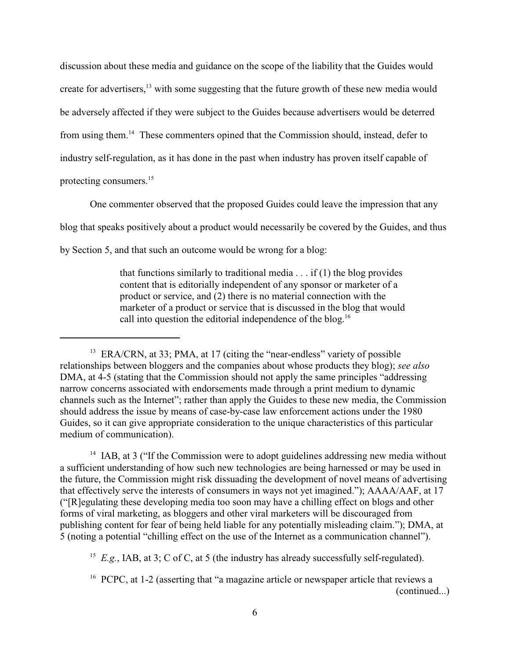discussion about these media and guidance on the scope of the liability that the Guides would create for advertisers,  $^{13}$  with some suggesting that the future growth of these new media would be adversely affected if they were subject to the Guides because advertisers would be deterred from using them.<sup>14</sup> These commenters opined that the Commission should, instead, defer to industry self-regulation, as it has done in the past when industry has proven itself capable of protecting consumers. 15

One commenter observed that the proposed Guides could leave the impression that any blog that speaks positively about a product would necessarily be covered by the Guides, and thus by Section 5, and that such an outcome would be wrong for a blog:

> that functions similarly to traditional media  $\dots$  if (1) the blog provides content that is editorially independent of any sponsor or marketer of a product or service, and (2) there is no material connection with the marketer of a product or service that is discussed in the blog that would call into question the editorial independence of the blog.<sup>16</sup>

 $14$  IAB, at 3 ("If the Commission were to adopt guidelines addressing new media without a sufficient understanding of how such new technologies are being harnessed or may be used in the future, the Commission might risk dissuading the development of novel means of advertising that effectively serve the interests of consumers in ways not yet imagined."); AAAA/AAF, at 17 ("[R]egulating these developing media too soon may have a chilling effect on blogs and other forms of viral marketing, as bloggers and other viral marketers will be discouraged from publishing content for fear of being held liable for any potentially misleading claim."); DMA, at 5 (noting a potential "chilling effect on the use of the Internet as a communication channel").

<sup>15</sup> E.g., IAB, at 3; C of C, at 5 (the industry has already successfully self-regulated).

<sup>&</sup>lt;sup>13</sup> ERA/CRN, at 33; PMA, at 17 (citing the "near-endless" variety of possible relationships between bloggers and the companies about whose products they blog); *see also* DMA, at 4-5 (stating that the Commission should not apply the same principles "addressing narrow concerns associated with endorsements made through a print medium to dynamic channels such as the Internet"; rather than apply the Guides to these new media, the Commission should address the issue by means of case-by-case law enforcement actions under the 1980 Guides, so it can give appropriate consideration to the unique characteristics of this particular medium of communication).

<sup>&</sup>lt;sup>16</sup> PCPC, at 1-2 (asserting that "a magazine article or newspaper article that reviews a (continued...)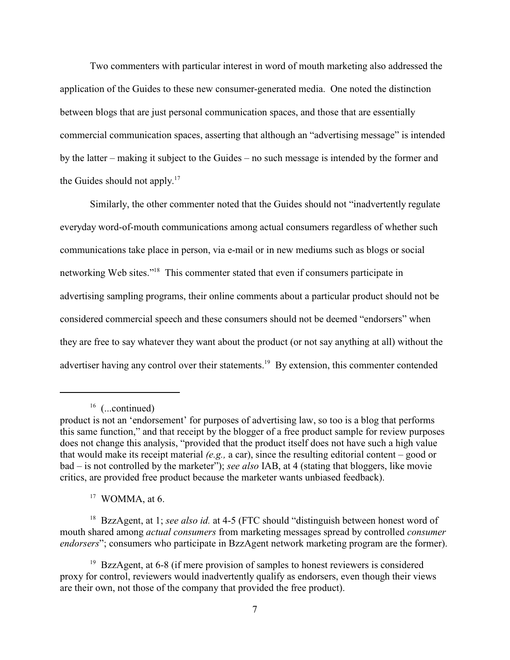Two commenters with particular interest in word of mouth marketing also addressed the application of the Guides to these new consumer-generated media. One noted the distinction between blogs that are just personal communication spaces, and those that are essentially commercial communication spaces, asserting that although an "advertising message" is intended by the latter – making it subject to the Guides – no such message is intended by the former and the Guides should not apply. $17$ 

Similarly, the other commenter noted that the Guides should not "inadvertently regulate everyday word-of-mouth communications among actual consumers regardless of whether such communications take place in person, via e-mail or in new mediums such as blogs or social networking Web sites."<sup>18</sup> This commenter stated that even if consumers participate in advertising sampling programs, their online comments about a particular product should not be considered commercial speech and these consumers should not be deemed "endorsers" when they are free to say whatever they want about the product (or not say anything at all) without the advertiser having any control over their statements.<sup>19</sup> By extension, this commenter contended

 $17$  WOMMA, at 6.

<sup>18</sup> BzzAgent, at 1; *see also id.* at 4-5 (FTC should "distinguish between honest word of mouth shared among *actual consumers* from marketing messages spread by controlled *consumer endorsers*"; consumers who participate in BzzAgent network marketing program are the former).

 $16$  (...continued)

product is not an 'endorsement' for purposes of advertising law, so too is a blog that performs this same function," and that receipt by the blogger of a free product sample for review purposes does not change this analysis, "provided that the product itself does not have such a high value that would make its receipt material *(e.g.,* a car), since the resulting editorial content – good or bad – is not controlled by the marketer"); *see also* IAB, at 4 (stating that bloggers, like movie critics, are provided free product because the marketer wants unbiased feedback).

 $19$  BzzAgent, at 6-8 (if mere provision of samples to honest reviewers is considered proxy for control, reviewers would inadvertently qualify as endorsers, even though their views are their own, not those of the company that provided the free product).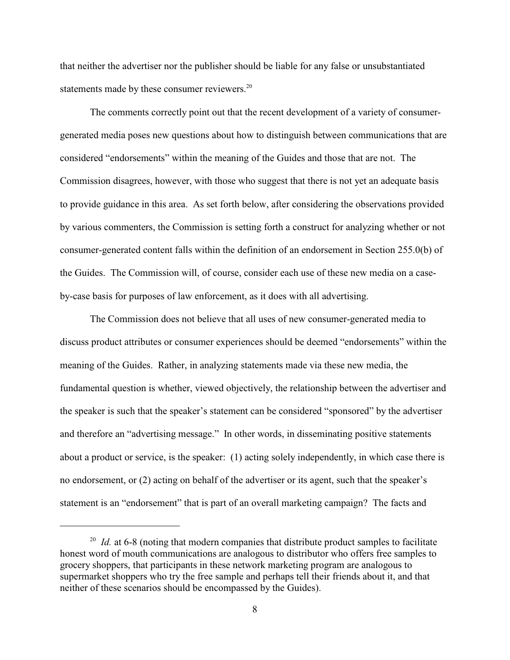that neither the advertiser nor the publisher should be liable for any false or unsubstantiated statements made by these consumer reviewers.<sup>20</sup>

The comments correctly point out that the recent development of a variety of consumergenerated media poses new questions about how to distinguish between communications that are considered "endorsements" within the meaning of the Guides and those that are not. The Commission disagrees, however, with those who suggest that there is not yet an adequate basis to provide guidance in this area. As set forth below, after considering the observations provided by various commenters, the Commission is setting forth a construct for analyzing whether or not consumer-generated content falls within the definition of an endorsement in Section 255.0(b) of the Guides. The Commission will, of course, consider each use of these new media on a caseby-case basis for purposes of law enforcement, as it does with all advertising.

The Commission does not believe that all uses of new consumer-generated media to discuss product attributes or consumer experiences should be deemed "endorsements" within the meaning of the Guides. Rather, in analyzing statements made via these new media, the fundamental question is whether, viewed objectively, the relationship between the advertiser and the speaker is such that the speaker's statement can be considered "sponsored" by the advertiser and therefore an "advertising message." In other words, in disseminating positive statements about a product or service, is the speaker: (1) acting solely independently, in which case there is no endorsement, or (2) acting on behalf of the advertiser or its agent, such that the speaker's statement is an "endorsement" that is part of an overall marketing campaign? The facts and

 $I/d$ . at 6-8 (noting that modern companies that distribute product samples to facilitate honest word of mouth communications are analogous to distributor who offers free samples to grocery shoppers, that participants in these network marketing program are analogous to supermarket shoppers who try the free sample and perhaps tell their friends about it, and that neither of these scenarios should be encompassed by the Guides).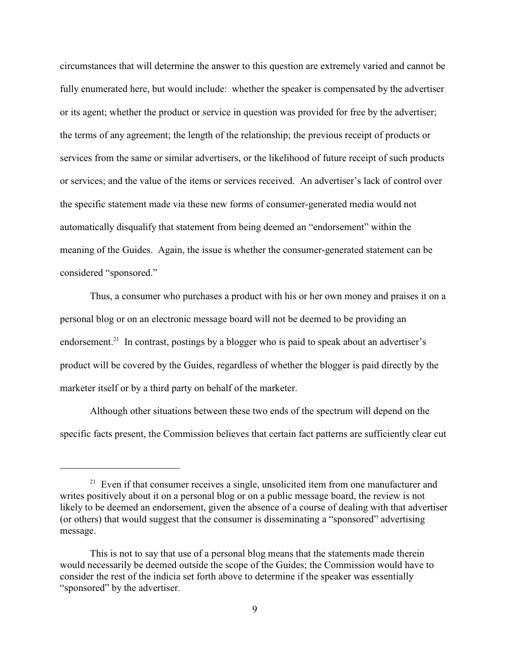circumstances that will determine the answer to this question are extremely varied and cannot be fully enumerated here, but would include: whether the speaker is compensated by the advertiser or its agent; whether the product or service in question was provided for free by the advertiser; the terms of any agreement; the length of the relationship; the previous receipt of products or services from the same or similar advertisers, or the likelihood of future receipt of such products or services; and the value of the items or services received. An advertiser's lack of control over the specific statement made via these new forms of consumer-generated media would not automatically disqualify that statement from being deemed an "endorsement" within the meaning of the Guides. Again, the issue is whether the consumer-generated statement can be considered "sponsored."

Thus, a consumer who purchases a product with his or her own money and praises it on a personal blog or on an electronic message board will not be deemed to be providing an endorsement.<sup>21</sup> In contrast, postings by a blogger who is paid to speak about an advertiser's product will be covered by the Guides, regardless of whether the blogger is paid directly by the marketer itself or by a third party on behalf of the marketer.

Although other situations between these two ends of the spectrum will depend on the specific facts present, the Commission believes that certain fact patterns are sufficiently clear cut

 $21$  Even if that consumer receives a single, unsolicited item from one manufacturer and writes positively about it on a personal blog or on a public message board, the review is not likely to be deemed an endorsement, given the absence of a course of dealing with that advertiser (or others) that would suggest that the consumer is disseminating a "sponsored" advertising message.

This is not to say that use of a personal blog means that the statements made therein would necessarily be deemed outside the scope of the Guides; the Commission would have to consider the rest of the indicia set forth above to determine if the speaker was essentially "sponsored" by the advertiser.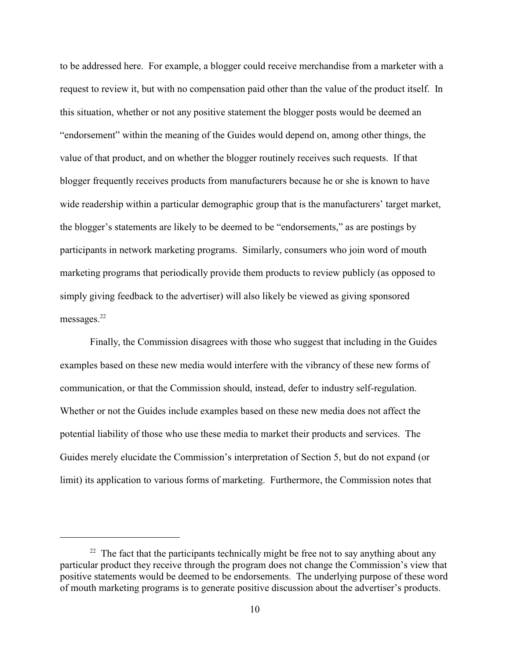to be addressed here. For example, a blogger could receive merchandise from a marketer with a request to review it, but with no compensation paid other than the value of the product itself. In this situation, whether or not any positive statement the blogger posts would be deemed an "endorsement" within the meaning of the Guides would depend on, among other things, the value of that product, and on whether the blogger routinely receives such requests. If that blogger frequently receives products from manufacturers because he or she is known to have wide readership within a particular demographic group that is the manufacturers' target market, the blogger's statements are likely to be deemed to be "endorsements," as are postings by participants in network marketing programs. Similarly, consumers who join word of mouth marketing programs that periodically provide them products to review publicly (as opposed to simply giving feedback to the advertiser) will also likely be viewed as giving sponsored messages.<sup>22</sup>

Finally, the Commission disagrees with those who suggest that including in the Guides examples based on these new media would interfere with the vibrancy of these new forms of communication, or that the Commission should, instead, defer to industry self-regulation. Whether or not the Guides include examples based on these new media does not affect the potential liability of those who use these media to market their products and services. The Guides merely elucidate the Commission's interpretation of Section 5, but do not expand (or limit) its application to various forms of marketing. Furthermore, the Commission notes that

 $22$  The fact that the participants technically might be free not to say anything about any particular product they receive through the program does not change the Commission's view that positive statements would be deemed to be endorsements. The underlying purpose of these word of mouth marketing programs is to generate positive discussion about the advertiser's products.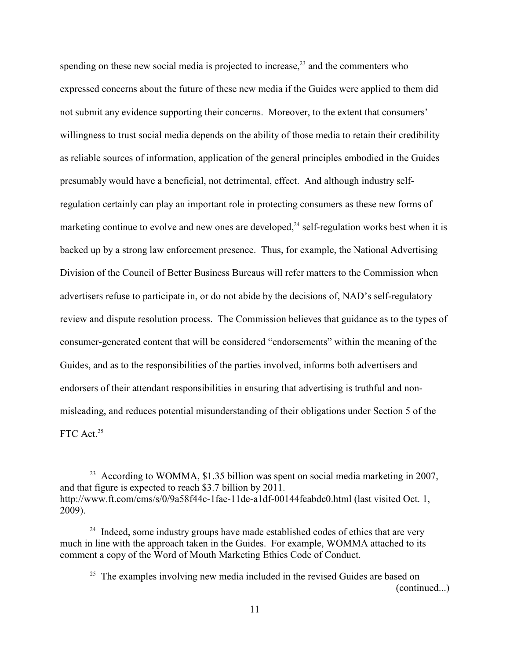spending on these new social media is projected to increase, $^{23}$  and the commenters who expressed concerns about the future of these new media if the Guides were applied to them did not submit any evidence supporting their concerns. Moreover, to the extent that consumers' willingness to trust social media depends on the ability of those media to retain their credibility as reliable sources of information, application of the general principles embodied in the Guides presumably would have a beneficial, not detrimental, effect. And although industry selfregulation certainly can play an important role in protecting consumers as these new forms of marketing continue to evolve and new ones are developed,  $24$  self-regulation works best when it is backed up by a strong law enforcement presence. Thus, for example, the National Advertising Division of the Council of Better Business Bureaus will refer matters to the Commission when advertisers refuse to participate in, or do not abide by the decisions of, NAD's self-regulatory review and dispute resolution process. The Commission believes that guidance as to the types of consumer-generated content that will be considered "endorsements" within the meaning of the Guides, and as to the responsibilities of the parties involved, informs both advertisers and endorsers of their attendant responsibilities in ensuring that advertising is truthful and nonmisleading, and reduces potential misunderstanding of their obligations under Section 5 of the FTC Act.<sup>25</sup>

<sup>&</sup>lt;sup>23</sup> According to WOMMA, \$1.35 billion was spent on social media marketing in 2007, and that figure is expected to reach \$3.7 billion by 2011. http://www.ft.com/cms/s/0/9a58f44c-1fae-11de-a1df-00144feabdc0.html (last visited Oct. 1, 2009).

<sup>&</sup>lt;sup>24</sup> Indeed, some industry groups have made established codes of ethics that are very much in line with the approach taken in the Guides. For example, WOMMA attached to its comment a copy of the Word of Mouth Marketing Ethics Code of Conduct.

 $25$  The examples involving new media included in the revised Guides are based on (continued...)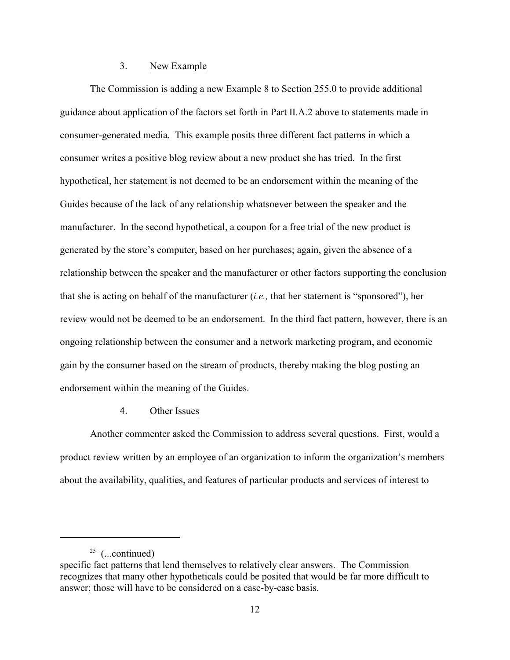### 3. New Example

The Commission is adding a new Example 8 to Section 255.0 to provide additional guidance about application of the factors set forth in Part II.A.2 above to statements made in consumer-generated media. This example posits three different fact patterns in which a consumer writes a positive blog review about a new product she has tried. In the first hypothetical, her statement is not deemed to be an endorsement within the meaning of the Guides because of the lack of any relationship whatsoever between the speaker and the manufacturer. In the second hypothetical, a coupon for a free trial of the new product is generated by the store's computer, based on her purchases; again, given the absence of a relationship between the speaker and the manufacturer or other factors supporting the conclusion that she is acting on behalf of the manufacturer (*i.e.,* that her statement is "sponsored"), her review would not be deemed to be an endorsement. In the third fact pattern, however, there is an ongoing relationship between the consumer and a network marketing program, and economic gain by the consumer based on the stream of products, thereby making the blog posting an endorsement within the meaning of the Guides.

#### 4. Other Issues

Another commenter asked the Commission to address several questions. First, would a product review written by an employee of an organization to inform the organization's members about the availability, qualities, and features of particular products and services of interest to

 $25$  (...continued)

specific fact patterns that lend themselves to relatively clear answers. The Commission recognizes that many other hypotheticals could be posited that would be far more difficult to answer; those will have to be considered on a case-by-case basis.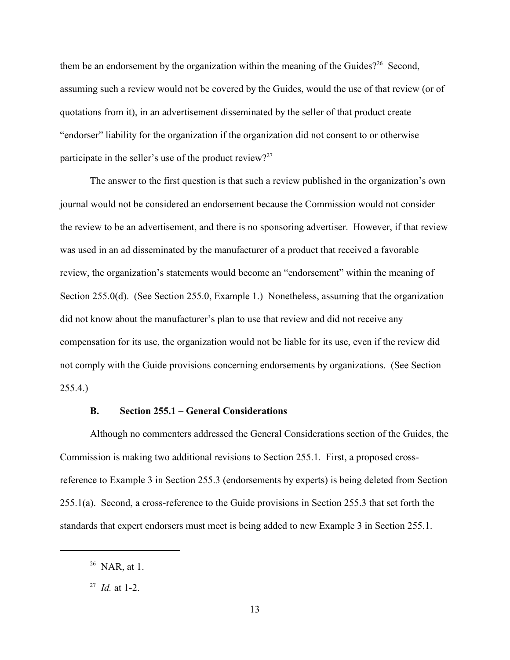them be an endorsement by the organization within the meaning of the Guides?<sup>26</sup> Second, assuming such a review would not be covered by the Guides, would the use of that review (or of quotations from it), in an advertisement disseminated by the seller of that product create "endorser" liability for the organization if the organization did not consent to or otherwise participate in the seller's use of the product review? $27$ 

The answer to the first question is that such a review published in the organization's own journal would not be considered an endorsement because the Commission would not consider the review to be an advertisement, and there is no sponsoring advertiser. However, if that review was used in an ad disseminated by the manufacturer of a product that received a favorable review, the organization's statements would become an "endorsement" within the meaning of Section 255.0(d). (See Section 255.0, Example 1.) Nonetheless, assuming that the organization did not know about the manufacturer's plan to use that review and did not receive any compensation for its use, the organization would not be liable for its use, even if the review did not comply with the Guide provisions concerning endorsements by organizations. (See Section 255.4.)

#### **B. Section 255.1 – General Considerations**

Although no commenters addressed the General Considerations section of the Guides, the Commission is making two additional revisions to Section 255.1. First, a proposed crossreference to Example 3 in Section 255.3 (endorsements by experts) is being deleted from Section 255.1(a). Second, a cross-reference to the Guide provisions in Section 255.3 that set forth the standards that expert endorsers must meet is being added to new Example 3 in Section 255.1.

 $26$  NAR, at 1.

 $^{27}$  *Id.* at 1-2.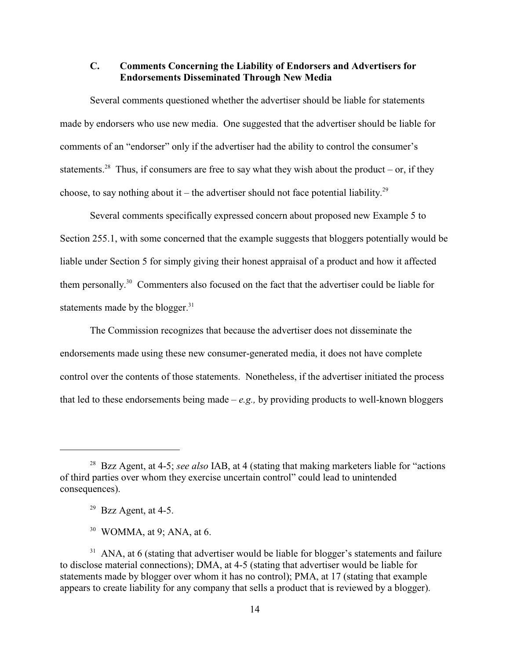### **C. Comments Concerning the Liability of Endorsers and Advertisers for Endorsements Disseminated Through New Media**

Several comments questioned whether the advertiser should be liable for statements made by endorsers who use new media. One suggested that the advertiser should be liable for comments of an "endorser" only if the advertiser had the ability to control the consumer's statements.<sup>28</sup> Thus, if consumers are free to say what they wish about the product – or, if they choose, to say nothing about it – the advertiser should not face potential liability.<sup>29</sup>

Several comments specifically expressed concern about proposed new Example 5 to Section 255.1, with some concerned that the example suggests that bloggers potentially would be liable under Section 5 for simply giving their honest appraisal of a product and how it affected them personally.<sup>30</sup> Commenters also focused on the fact that the advertiser could be liable for statements made by the blogger. $31$ 

The Commission recognizes that because the advertiser does not disseminate the endorsements made using these new consumer-generated media, it does not have complete control over the contents of those statements. Nonetheless, if the advertiser initiated the process that led to these endorsements being made –  $e.g.,$  by providing products to well-known bloggers

 $30$  WOMMA, at 9; ANA, at 6.

 $31$  ANA, at 6 (stating that advertiser would be liable for blogger's statements and failure to disclose material connections); DMA, at 4-5 (stating that advertiser would be liable for statements made by blogger over whom it has no control); PMA, at 17 (stating that example appears to create liability for any company that sells a product that is reviewed by a blogger).

<sup>&</sup>lt;sup>28</sup> Bzz Agent, at 4-5; *see also* IAB, at 4 (stating that making marketers liable for "actions" of third parties over whom they exercise uncertain control" could lead to unintended consequences).

<sup>&</sup>lt;sup>29</sup> Bzz Agent, at 4-5.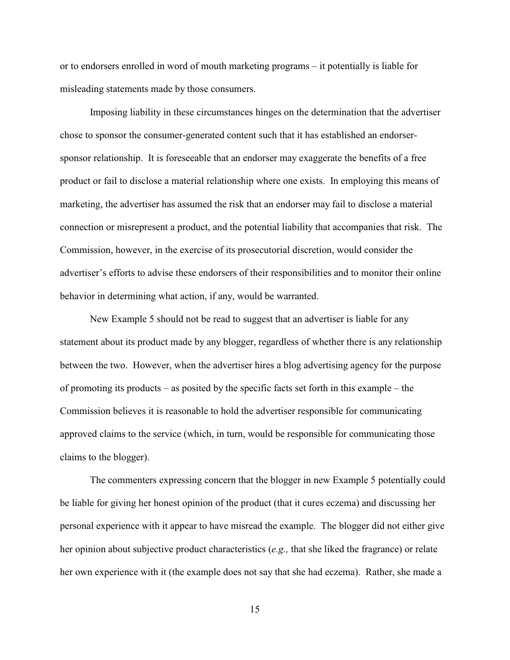or to endorsers enrolled in word of mouth marketing programs – it potentially is liable for misleading statements made by those consumers.

Imposing liability in these circumstances hinges on the determination that the advertiser chose to sponsor the consumer-generated content such that it has established an endorsersponsor relationship. It is foreseeable that an endorser may exaggerate the benefits of a free product or fail to disclose a material relationship where one exists. In employing this means of marketing, the advertiser has assumed the risk that an endorser may fail to disclose a material connection or misrepresent a product, and the potential liability that accompanies that risk. The Commission, however, in the exercise of its prosecutorial discretion, would consider the advertiser's efforts to advise these endorsers of their responsibilities and to monitor their online behavior in determining what action, if any, would be warranted.

New Example 5 should not be read to suggest that an advertiser is liable for any statement about its product made by any blogger, regardless of whether there is any relationship between the two. However, when the advertiser hires a blog advertising agency for the purpose of promoting its products – as posited by the specific facts set forth in this example – the Commission believes it is reasonable to hold the advertiser responsible for communicating approved claims to the service (which, in turn, would be responsible for communicating those claims to the blogger).

The commenters expressing concern that the blogger in new Example 5 potentially could be liable for giving her honest opinion of the product (that it cures eczema) and discussing her personal experience with it appear to have misread the example. The blogger did not either give her opinion about subjective product characteristics (*e.g.,* that she liked the fragrance) or relate her own experience with it (the example does not say that she had eczema). Rather, she made a

15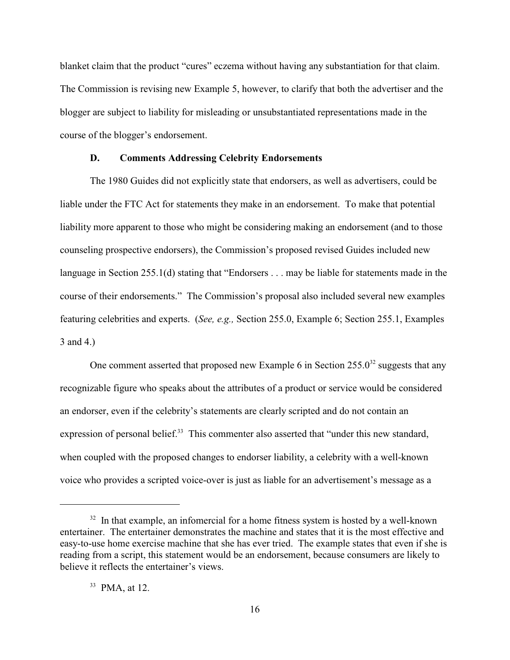blanket claim that the product "cures" eczema without having any substantiation for that claim. The Commission is revising new Example 5, however, to clarify that both the advertiser and the blogger are subject to liability for misleading or unsubstantiated representations made in the course of the blogger's endorsement.

#### **D. Comments Addressing Celebrity Endorsements**

The 1980 Guides did not explicitly state that endorsers, as well as advertisers, could be liable under the FTC Act for statements they make in an endorsement. To make that potential liability more apparent to those who might be considering making an endorsement (and to those counseling prospective endorsers), the Commission's proposed revised Guides included new language in Section 255.1(d) stating that "Endorsers . . . may be liable for statements made in the course of their endorsements." The Commission's proposal also included several new examples featuring celebrities and experts. (*See, e.g.,* Section 255.0, Example 6; Section 255.1, Examples 3 and 4.)

One comment asserted that proposed new Example 6 in Section  $255.0^{32}$  suggests that any recognizable figure who speaks about the attributes of a product or service would be considered an endorser, even if the celebrity's statements are clearly scripted and do not contain an expression of personal belief. $33$  This commenter also asserted that "under this new standard, when coupled with the proposed changes to endorser liability, a celebrity with a well-known voice who provides a scripted voice-over is just as liable for an advertisement's message as a

 $32$  In that example, an infomercial for a home fitness system is hosted by a well-known entertainer. The entertainer demonstrates the machine and states that it is the most effective and easy-to-use home exercise machine that she has ever tried. The example states that even if she is reading from a script, this statement would be an endorsement, because consumers are likely to believe it reflects the entertainer's views.

 $33$  PMA, at 12.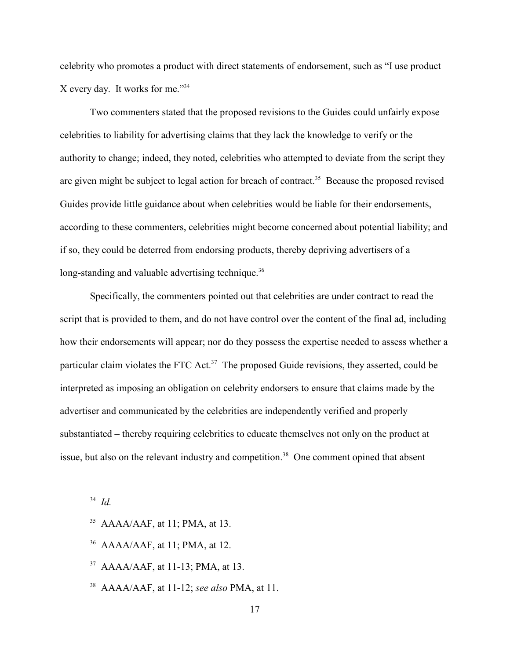celebrity who promotes a product with direct statements of endorsement, such as "I use product X every day. It works for me."<sup>34</sup>

Two commenters stated that the proposed revisions to the Guides could unfairly expose celebrities to liability for advertising claims that they lack the knowledge to verify or the authority to change; indeed, they noted, celebrities who attempted to deviate from the script they are given might be subject to legal action for breach of contract.<sup>35</sup> Because the proposed revised Guides provide little guidance about when celebrities would be liable for their endorsements, according to these commenters, celebrities might become concerned about potential liability; and if so, they could be deterred from endorsing products, thereby depriving advertisers of a long-standing and valuable advertising technique.<sup>36</sup>

Specifically, the commenters pointed out that celebrities are under contract to read the script that is provided to them, and do not have control over the content of the final ad, including how their endorsements will appear; nor do they possess the expertise needed to assess whether a particular claim violates the FTC Act.<sup>37</sup> The proposed Guide revisions, they asserted, could be interpreted as imposing an obligation on celebrity endorsers to ensure that claims made by the advertiser and communicated by the celebrities are independently verified and properly substantiated – thereby requiring celebrities to educate themselves not only on the product at issue, but also on the relevant industry and competition.<sup>38</sup> One comment opined that absent

 $^{34}$  *Id.* 

- $35$  AAAA/AAF, at 11; PMA, at 13.
- $36$  AAAA/AAF, at 11; PMA, at 12.
- $37$  AAAA/AAF, at 11-13; PMA, at 13.
- <sup>38</sup> AAAA/AAF, at 11-12; *see also* PMA, at 11.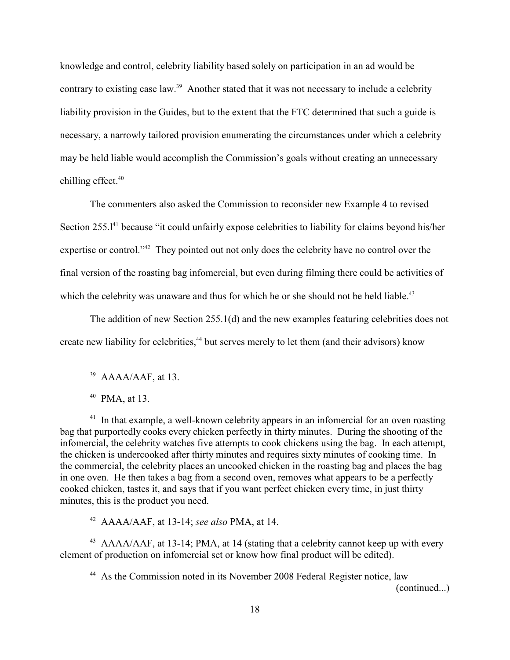knowledge and control, celebrity liability based solely on participation in an ad would be contrary to existing case law.<sup>39</sup> Another stated that it was not necessary to include a celebrity liability provision in the Guides, but to the extent that the FTC determined that such a guide is necessary, a narrowly tailored provision enumerating the circumstances under which a celebrity may be held liable would accomplish the Commission's goals without creating an unnecessary chilling effect. $40$ 

The commenters also asked the Commission to reconsider new Example 4 to revised Section  $255.1^{41}$  because "it could unfairly expose celebrities to liability for claims beyond his/her expertise or control."<sup> $42$ </sup> They pointed out not only does the celebrity have no control over the final version of the roasting bag infomercial, but even during filming there could be activities of which the celebrity was unaware and thus for which he or she should not be held liable.<sup>43</sup>

The addition of new Section 255.1(d) and the new examples featuring celebrities does not create new liability for celebrities,<sup>44</sup> but serves merely to let them (and their advisors) know

 $39$  AAAA/AAF, at 13.

 $40$  PMA, at 13.

 $11$  In that example, a well-known celebrity appears in an infomercial for an oven roasting bag that purportedly cooks every chicken perfectly in thirty minutes. During the shooting of the infomercial, the celebrity watches five attempts to cook chickens using the bag. In each attempt, the chicken is undercooked after thirty minutes and requires sixty minutes of cooking time. In the commercial, the celebrity places an uncooked chicken in the roasting bag and places the bag in one oven. He then takes a bag from a second oven, removes what appears to be a perfectly cooked chicken, tastes it, and says that if you want perfect chicken every time, in just thirty minutes, this is the product you need.

<sup>42</sup> AAAA/AAF, at 13-14; *see also* PMA, at 14.

<sup>43</sup> AAAA/AAF, at 13-14; PMA, at 14 (stating that a celebrity cannot keep up with every element of production on infomercial set or know how final product will be edited).

<sup>44</sup> As the Commission noted in its November 2008 Federal Register notice, law (continued...)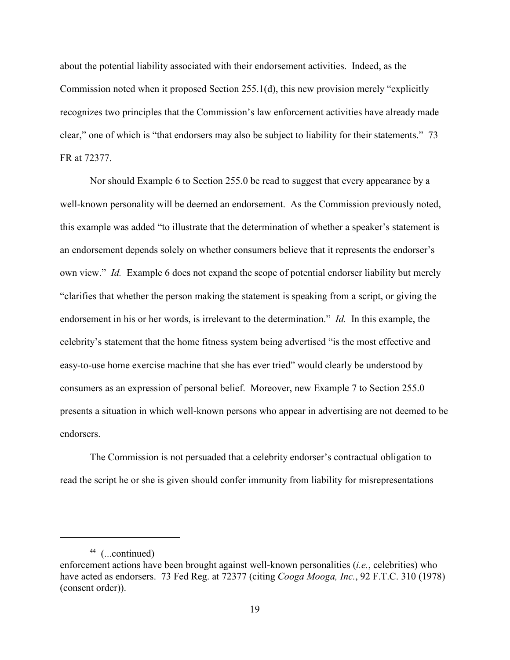about the potential liability associated with their endorsement activities. Indeed, as the Commission noted when it proposed Section 255.1(d), this new provision merely "explicitly recognizes two principles that the Commission's law enforcement activities have already made clear," one of which is "that endorsers may also be subject to liability for their statements." 73 FR at 72377.

Nor should Example 6 to Section 255.0 be read to suggest that every appearance by a well-known personality will be deemed an endorsement. As the Commission previously noted, this example was added "to illustrate that the determination of whether a speaker's statement is an endorsement depends solely on whether consumers believe that it represents the endorser's own view." *Id.* Example 6 does not expand the scope of potential endorser liability but merely "clarifies that whether the person making the statement is speaking from a script, or giving the endorsement in his or her words, is irrelevant to the determination." *Id.* In this example, the celebrity's statement that the home fitness system being advertised "is the most effective and easy-to-use home exercise machine that she has ever tried" would clearly be understood by consumers as an expression of personal belief. Moreover, new Example 7 to Section 255.0 presents a situation in which well-known persons who appear in advertising are not deemed to be endorsers.

The Commission is not persuaded that a celebrity endorser's contractual obligation to read the script he or she is given should confer immunity from liability for misrepresentations

 $44$  (...continued)

enforcement actions have been brought against well-known personalities (*i.e.*, celebrities) who have acted as endorsers. 73 Fed Reg. at 72377 (citing *Cooga Mooga, Inc.*, 92 F.T.C. 310 (1978) (consent order)).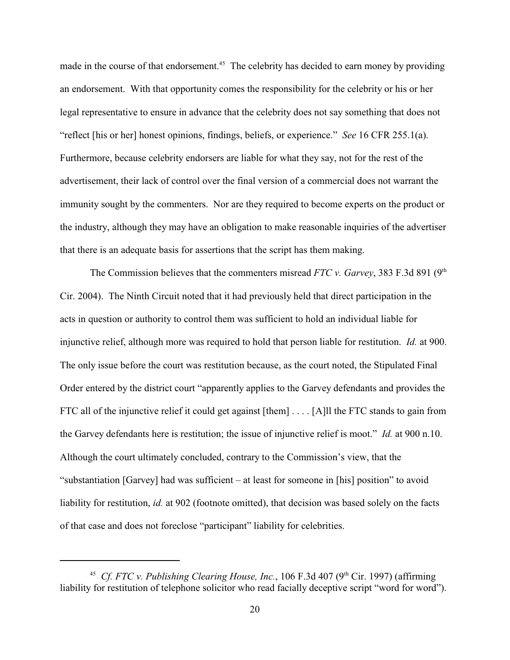made in the course of that endorsement.<sup>45</sup> The celebrity has decided to earn money by providing an endorsement. With that opportunity comes the responsibility for the celebrity or his or her legal representative to ensure in advance that the celebrity does not say something that does not "reflect [his or her] honest opinions, findings, beliefs, or experience." *See* 16 CFR 255.1(a). Furthermore, because celebrity endorsers are liable for what they say, not for the rest of the advertisement, their lack of control over the final version of a commercial does not warrant the immunity sought by the commenters. Nor are they required to become experts on the product or the industry, although they may have an obligation to make reasonable inquiries of the advertiser that there is an adequate basis for assertions that the script has them making.

The Commission believes that the commenters misread *FTC v. Garvey*, 383 F.3d 891 (9<sup>th</sup>) Cir. 2004). The Ninth Circuit noted that it had previously held that direct participation in the acts in question or authority to control them was sufficient to hold an individual liable for injunctive relief, although more was required to hold that person liable for restitution. *Id.* at 900. The only issue before the court was restitution because, as the court noted, the Stipulated Final Order entered by the district court "apparently applies to the Garvey defendants and provides the FTC all of the injunctive relief it could get against [them] . . . . [A]ll the FTC stands to gain from the Garvey defendants here is restitution; the issue of injunctive relief is moot." *Id.* at 900 n.10. Although the court ultimately concluded, contrary to the Commission's view, that the "substantiation [Garvey] had was sufficient – at least for someone in [his] position" to avoid liability for restitution, *id.* at 902 (footnote omitted), that decision was based solely on the facts of that case and does not foreclose "participant" liability for celebrities.

<sup>&</sup>lt;sup>45</sup> Cf. FTC v. Publishing Clearing House, Inc., 106 F.3d 407 (9<sup>th</sup> Cir. 1997) (affirming liability for restitution of telephone solicitor who read facially deceptive script "word for word").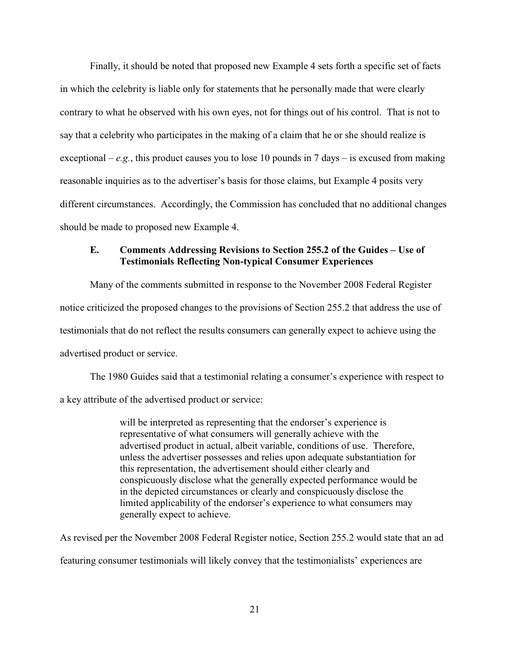Finally, it should be noted that proposed new Example 4 sets forth a specific set of facts in which the celebrity is liable only for statements that he personally made that were clearly contrary to what he observed with his own eyes, not for things out of his control. That is not to say that a celebrity who participates in the making of a claim that he or she should realize is exceptional –  $e.g.,$  this product causes you to lose 10 pounds in 7 days – is excused from making reasonable inquiries as to the advertiser's basis for those claims, but Example 4 posits very different circumstances. Accordingly, the Commission has concluded that no additional changes should be made to proposed new Example 4.

### **E. Comments Addressing Revisions to Section 255.2 of the Guides – Use of Testimonials Reflecting Non-typical Consumer Experiences**

Many of the comments submitted in response to the November 2008 Federal Register notice criticized the proposed changes to the provisions of Section 255.2 that address the use of testimonials that do not reflect the results consumers can generally expect to achieve using the advertised product or service.

The 1980 Guides said that a testimonial relating a consumer's experience with respect to a key attribute of the advertised product or service:

> will be interpreted as representing that the endorser's experience is representative of what consumers will generally achieve with the advertised product in actual, albeit variable, conditions of use. Therefore, unless the advertiser possesses and relies upon adequate substantiation for this representation, the advertisement should either clearly and conspicuously disclose what the generally expected performance would be in the depicted circumstances or clearly and conspicuously disclose the limited applicability of the endorser's experience to what consumers may generally expect to achieve.

As revised per the November 2008 Federal Register notice, Section 255.2 would state that an ad featuring consumer testimonials will likely convey that the testimonialists' experiences are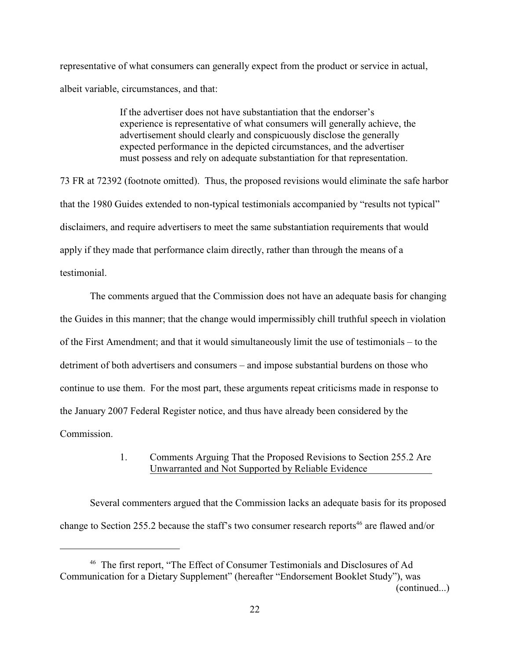representative of what consumers can generally expect from the product or service in actual, albeit variable, circumstances, and that:

> If the advertiser does not have substantiation that the endorser's experience is representative of what consumers will generally achieve, the advertisement should clearly and conspicuously disclose the generally expected performance in the depicted circumstances, and the advertiser must possess and rely on adequate substantiation for that representation.

73 FR at 72392 (footnote omitted). Thus, the proposed revisions would eliminate the safe harbor that the 1980 Guides extended to non-typical testimonials accompanied by "results not typical" disclaimers, and require advertisers to meet the same substantiation requirements that would apply if they made that performance claim directly, rather than through the means of a testimonial.

The comments argued that the Commission does not have an adequate basis for changing the Guides in this manner; that the change would impermissibly chill truthful speech in violation of the First Amendment; and that it would simultaneously limit the use of testimonials – to the detriment of both advertisers and consumers – and impose substantial burdens on those who continue to use them. For the most part, these arguments repeat criticisms made in response to the January 2007 Federal Register notice, and thus have already been considered by the Commission.

### 1. Comments Arguing That the Proposed Revisions to Section 255.2 Are Unwarranted and Not Supported by Reliable Evidence

Several commenters argued that the Commission lacks an adequate basis for its proposed change to Section 255.2 because the staff's two consumer research reports<sup>46</sup> are flawed and/or

<sup>&</sup>lt;sup>46</sup> The first report, "The Effect of Consumer Testimonials and Disclosures of Ad Communication for a Dietary Supplement" (hereafter "Endorsement Booklet Study"), was (continued...)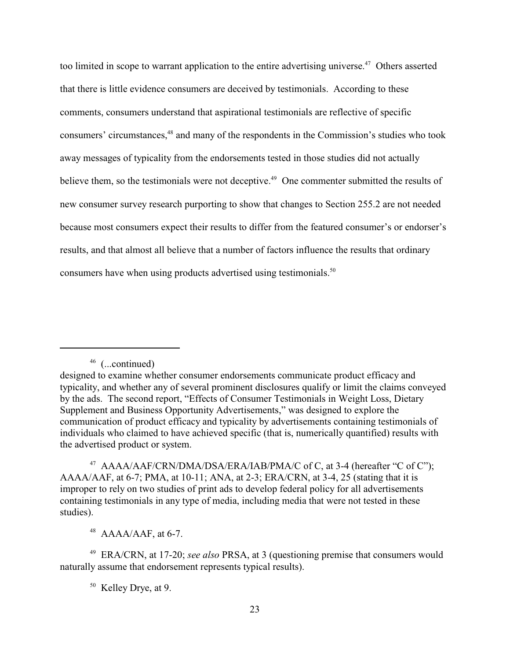too limited in scope to warrant application to the entire advertising universe.<sup> $47$ </sup> Others asserted that there is little evidence consumers are deceived by testimonials. According to these comments, consumers understand that aspirational testimonials are reflective of specific consumers' circumstances,<sup>48</sup> and many of the respondents in the Commission's studies who took away messages of typicality from the endorsements tested in those studies did not actually believe them, so the testimonials were not deceptive.<sup>49</sup> One commenter submitted the results of new consumer survey research purporting to show that changes to Section 255.2 are not needed because most consumers expect their results to differ from the featured consumer's or endorser's results, and that almost all believe that a number of factors influence the results that ordinary consumers have when using products advertised using testimonials.<sup>50</sup>

<sup>47</sup> AAAA/AAF/CRN/DMA/DSA/ERA/IAB/PMA/C of C, at 3-4 (hereafter "C of C"); AAAA/AAF, at 6-7; PMA, at 10-11; ANA, at 2-3; ERA/CRN, at 3-4, 25 (stating that it is improper to rely on two studies of print ads to develop federal policy for all advertisements containing testimonials in any type of media, including media that were not tested in these studies).

 $48$  AAAA/AAF, at 6-7.

 ERA/CRN, at 17-20; *see also* PRSA, at 3 (questioning premise that consumers would <sup>49</sup> naturally assume that endorsement represents typical results).

 $50$  Kelley Drye, at 9.

 $46$  (...continued)

designed to examine whether consumer endorsements communicate product efficacy and typicality, and whether any of several prominent disclosures qualify or limit the claims conveyed by the ads. The second report, "Effects of Consumer Testimonials in Weight Loss, Dietary Supplement and Business Opportunity Advertisements," was designed to explore the communication of product efficacy and typicality by advertisements containing testimonials of individuals who claimed to have achieved specific (that is, numerically quantified) results with the advertised product or system.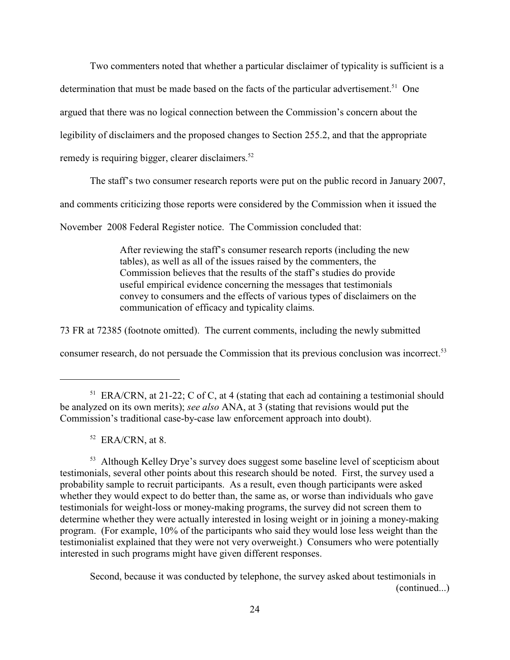Two commenters noted that whether a particular disclaimer of typicality is sufficient is a determination that must be made based on the facts of the particular advertisement.<sup>51</sup> One argued that there was no logical connection between the Commission's concern about the legibility of disclaimers and the proposed changes to Section 255.2, and that the appropriate remedy is requiring bigger, clearer disclaimers.<sup>52</sup>

The staff's two consumer research reports were put on the public record in January 2007,

and comments criticizing those reports were considered by the Commission when it issued the

November 2008 Federal Register notice. The Commission concluded that:

After reviewing the staff's consumer research reports (including the new tables), as well as all of the issues raised by the commenters, the Commission believes that the results of the staff's studies do provide useful empirical evidence concerning the messages that testimonials convey to consumers and the effects of various types of disclaimers on the communication of efficacy and typicality claims.

73 FR at 72385 (footnote omitted). The current comments, including the newly submitted

consumer research, do not persuade the Commission that its previous conclusion was incorrect.<sup>53</sup>

 $52$  ERA/CRN, at 8.

<sup>53</sup> Although Kelley Drye's survey does suggest some baseline level of scepticism about testimonials, several other points about this research should be noted. First, the survey used a probability sample to recruit participants. As a result, even though participants were asked whether they would expect to do better than, the same as, or worse than individuals who gave testimonials for weight-loss or money-making programs, the survey did not screen them to determine whether they were actually interested in losing weight or in joining a money-making program. (For example, 10% of the participants who said they would lose less weight than the testimonialist explained that they were not very overweight.) Consumers who were potentially interested in such programs might have given different responses.

Second, because it was conducted by telephone, the survey asked about testimonials in (continued...)

<sup>&</sup>lt;sup>51</sup> ERA/CRN, at 21-22; C of C, at 4 (stating that each ad containing a testimonial should be analyzed on its own merits); *see also* ANA, at 3 (stating that revisions would put the Commission's traditional case-by-case law enforcement approach into doubt).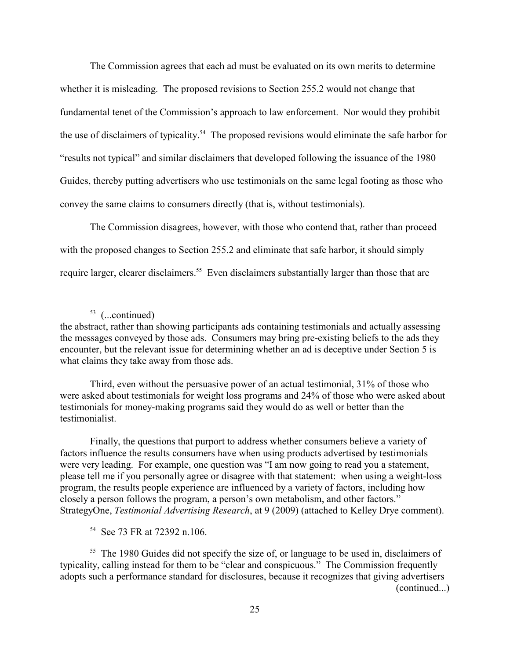The Commission agrees that each ad must be evaluated on its own merits to determine whether it is misleading. The proposed revisions to Section 255.2 would not change that fundamental tenet of the Commission's approach to law enforcement. Nor would they prohibit the use of disclaimers of typicality.<sup>54</sup> The proposed revisions would eliminate the safe harbor for "results not typical" and similar disclaimers that developed following the issuance of the 1980 Guides, thereby putting advertisers who use testimonials on the same legal footing as those who convey the same claims to consumers directly (that is, without testimonials).

The Commission disagrees, however, with those who contend that, rather than proceed with the proposed changes to Section 255.2 and eliminate that safe harbor, it should simply require larger, clearer disclaimers.<sup>55</sup> Even disclaimers substantially larger than those that are

 $53$  (...continued)

Third, even without the persuasive power of an actual testimonial, 31% of those who were asked about testimonials for weight loss programs and 24% of those who were asked about testimonials for money-making programs said they would do as well or better than the testimonialist.

Finally, the questions that purport to address whether consumers believe a variety of factors influence the results consumers have when using products advertised by testimonials were very leading. For example, one question was "I am now going to read you a statement, please tell me if you personally agree or disagree with that statement: when using a weight-loss program, the results people experience are influenced by a variety of factors, including how closely a person follows the program, a person's own metabolism, and other factors." StrategyOne, *Testimonial Advertising Research*, at 9 (2009) (attached to Kelley Drye comment).

<sup>54</sup> See 73 FR at 72392 n.106.

 $55$  The 1980 Guides did not specify the size of, or language to be used in, disclaimers of typicality, calling instead for them to be "clear and conspicuous." The Commission frequently adopts such a performance standard for disclosures, because it recognizes that giving advertisers (continued...)

the abstract, rather than showing participants ads containing testimonials and actually assessing the messages conveyed by those ads. Consumers may bring pre-existing beliefs to the ads they encounter, but the relevant issue for determining whether an ad is deceptive under Section 5 is what claims they take away from those ads.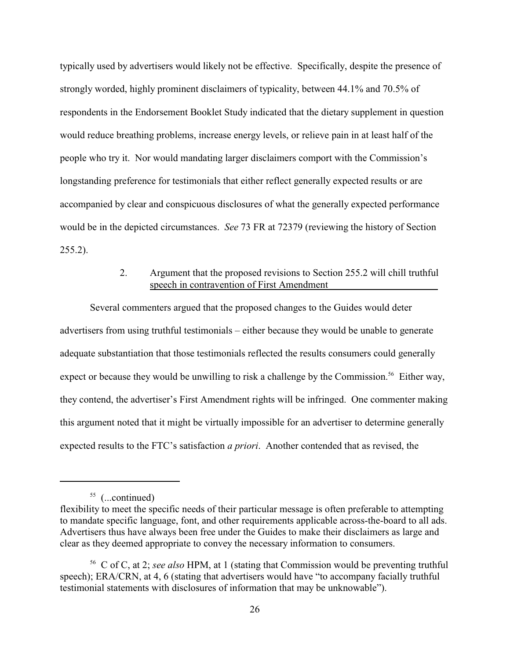typically used by advertisers would likely not be effective. Specifically, despite the presence of strongly worded, highly prominent disclaimers of typicality, between 44.1% and 70.5% of respondents in the Endorsement Booklet Study indicated that the dietary supplement in question would reduce breathing problems, increase energy levels, or relieve pain in at least half of the people who try it. Nor would mandating larger disclaimers comport with the Commission's longstanding preference for testimonials that either reflect generally expected results or are accompanied by clear and conspicuous disclosures of what the generally expected performance would be in the depicted circumstances. *See* 73 FR at 72379 (reviewing the history of Section 255.2).

## 2. Argument that the proposed revisions to Section 255.2 will chill truthful speech in contravention of First Amendment

Several commenters argued that the proposed changes to the Guides would deter advertisers from using truthful testimonials – either because they would be unable to generate adequate substantiation that those testimonials reflected the results consumers could generally expect or because they would be unwilling to risk a challenge by the Commission.<sup>56</sup> Either way, they contend, the advertiser's First Amendment rights will be infringed. One commenter making this argument noted that it might be virtually impossible for an advertiser to determine generally expected results to the FTC's satisfaction *a priori*. Another contended that as revised, the

 $55$  (...continued)

flexibility to meet the specific needs of their particular message is often preferable to attempting to mandate specific language, font, and other requirements applicable across-the-board to all ads. Advertisers thus have always been free under the Guides to make their disclaimers as large and clear as they deemed appropriate to convey the necessary information to consumers.

 $56$  C of C, at 2; *see also* HPM, at 1 (stating that Commission would be preventing truthful speech); ERA/CRN, at 4, 6 (stating that advertisers would have "to accompany facially truthful testimonial statements with disclosures of information that may be unknowable").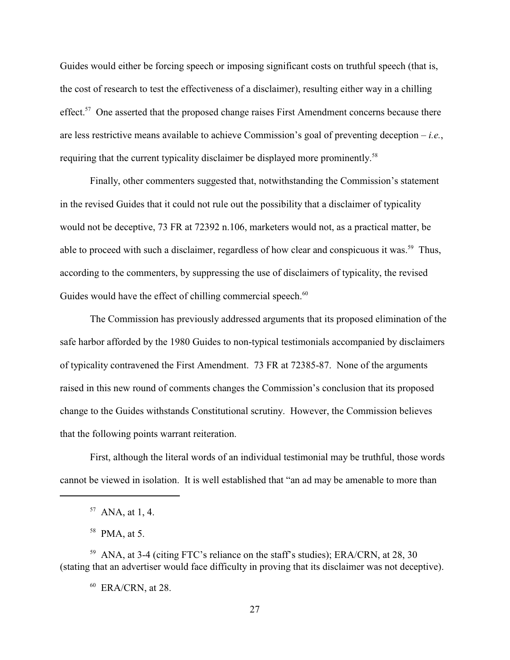Guides would either be forcing speech or imposing significant costs on truthful speech (that is, the cost of research to test the effectiveness of a disclaimer), resulting either way in a chilling effect.<sup>57</sup> One asserted that the proposed change raises First Amendment concerns because there are less restrictive means available to achieve Commission's goal of preventing deception – *i.e.*, requiring that the current typicality disclaimer be displayed more prominently.<sup>58</sup>

Finally, other commenters suggested that, notwithstanding the Commission's statement in the revised Guides that it could not rule out the possibility that a disclaimer of typicality would not be deceptive, 73 FR at 72392 n.106, marketers would not, as a practical matter, be able to proceed with such a disclaimer, regardless of how clear and conspicuous it was.<sup>59</sup> Thus, according to the commenters, by suppressing the use of disclaimers of typicality, the revised Guides would have the effect of chilling commercial speech.<sup>60</sup>

The Commission has previously addressed arguments that its proposed elimination of the safe harbor afforded by the 1980 Guides to non-typical testimonials accompanied by disclaimers of typicality contravened the First Amendment. 73 FR at 72385-87. None of the arguments raised in this new round of comments changes the Commission's conclusion that its proposed change to the Guides withstands Constitutional scrutiny. However, the Commission believes that the following points warrant reiteration.

First, although the literal words of an individual testimonial may be truthful, those words cannot be viewed in isolation. It is well established that "an ad may be amenable to more than

 $57$  ANA, at 1, 4.

 $58$  PMA, at 5.

 $59$  ANA, at 3-4 (citing FTC's reliance on the staff's studies); ERA/CRN, at 28, 30 (stating that an advertiser would face difficulty in proving that its disclaimer was not deceptive).

 $60$  ERA/CRN, at 28.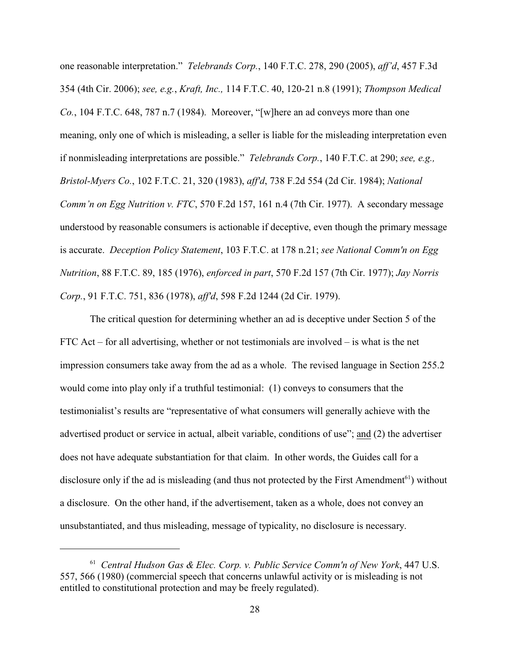one reasonable interpretation." *Telebrands Corp.*, 140 F.T.C. 278, 290 (2005), *aff'd*, 457 F.3d 354 (4th Cir. 2006); *see, e.g.*, *Kraft, Inc.,* 114 F.T.C. 40, 120-21 n.8 (1991); *Thompson Medical Co.*, 104 F.T.C. 648, 787 n.7 (1984). Moreover, "[w]here an ad conveys more than one meaning, only one of which is misleading, a seller is liable for the misleading interpretation even if nonmisleading interpretations are possible." *Telebrands Corp.*, 140 F.T.C. at 290; *see, e.g., Bristol-Myers Co.*, 102 F.T.C. 21, 320 (1983), *aff'd*, 738 F.2d 554 (2d Cir. 1984); *National Comm'n on Egg Nutrition v. FTC*, 570 F.2d 157, 161 n.4 (7th Cir. 1977). A secondary message understood by reasonable consumers is actionable if deceptive, even though the primary message is accurate. *Deception Policy Statement*, 103 F.T.C. at 178 n.21; *see National Comm'n on Egg Nutrition*, 88 F.T.C. 89, 185 (1976), *enforced in part*, 570 F.2d 157 (7th Cir. 1977); *Jay Norris Corp.*, 91 F.T.C. 751, 836 (1978), *aff'd*, 598 F.2d 1244 (2d Cir. 1979).

The critical question for determining whether an ad is deceptive under Section 5 of the FTC Act – for all advertising, whether or not testimonials are involved – is what is the net impression consumers take away from the ad as a whole. The revised language in Section 255.2 would come into play only if a truthful testimonial: (1) conveys to consumers that the testimonialist's results are "representative of what consumers will generally achieve with the advertised product or service in actual, albeit variable, conditions of use"; and (2) the advertiser does not have adequate substantiation for that claim. In other words, the Guides call for a disclosure only if the ad is misleading (and thus not protected by the First Amendment<sup>61</sup>) without a disclosure. On the other hand, if the advertisement, taken as a whole, does not convey an unsubstantiated, and thus misleading, message of typicality, no disclosure is necessary.

<sup>&</sup>lt;sup>61</sup> Central Hudson Gas & Elec. Corp. v. Public Service Comm'n of New York, 447 U.S. 557, 566 (1980) (commercial speech that concerns unlawful activity or is misleading is not entitled to constitutional protection and may be freely regulated).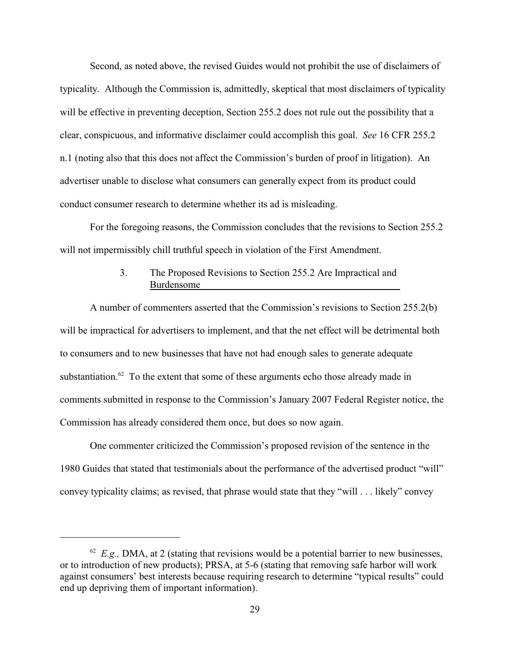Second, as noted above, the revised Guides would not prohibit the use of disclaimers of typicality. Although the Commission is, admittedly, skeptical that most disclaimers of typicality will be effective in preventing deception, Section 255.2 does not rule out the possibility that a clear, conspicuous, and informative disclaimer could accomplish this goal. *See* 16 CFR 255.2 n.1 (noting also that this does not affect the Commission's burden of proof in litigation). An advertiser unable to disclose what consumers can generally expect from its product could conduct consumer research to determine whether its ad is misleading.

For the foregoing reasons, the Commission concludes that the revisions to Section 255.2 will not impermissibly chill truthful speech in violation of the First Amendment.

## 3. The Proposed Revisions to Section 255.2 Are Impractical and Burdensome

A number of commenters asserted that the Commission's revisions to Section 255.2(b) will be impractical for advertisers to implement, and that the net effect will be detrimental both to consumers and to new businesses that have not had enough sales to generate adequate substantiation.<sup> $62$ </sup> To the extent that some of these arguments echo those already made in comments submitted in response to the Commission's January 2007 Federal Register notice, the Commission has already considered them once, but does so now again.

One commenter criticized the Commission's proposed revision of the sentence in the 1980 Guides that stated that testimonials about the performance of the advertised product "will" convey typicality claims; as revised, that phrase would state that they "will . . . likely" convey

 $E.g.,$  DMA, at 2 (stating that revisions would be a potential barrier to new businesses, or to introduction of new products); PRSA, at 5-6 (stating that removing safe harbor will work against consumers' best interests because requiring research to determine "typical results" could end up depriving them of important information).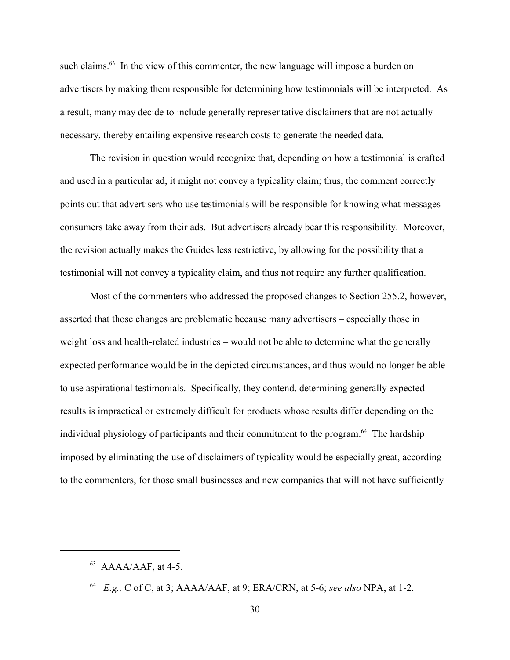such claims.  $63$  In the view of this commenter, the new language will impose a burden on advertisers by making them responsible for determining how testimonials will be interpreted. As a result, many may decide to include generally representative disclaimers that are not actually necessary, thereby entailing expensive research costs to generate the needed data.

The revision in question would recognize that, depending on how a testimonial is crafted and used in a particular ad, it might not convey a typicality claim; thus, the comment correctly points out that advertisers who use testimonials will be responsible for knowing what messages consumers take away from their ads. But advertisers already bear this responsibility. Moreover, the revision actually makes the Guides less restrictive, by allowing for the possibility that a testimonial will not convey a typicality claim, and thus not require any further qualification.

Most of the commenters who addressed the proposed changes to Section 255.2, however, asserted that those changes are problematic because many advertisers – especially those in weight loss and health-related industries – would not be able to determine what the generally expected performance would be in the depicted circumstances, and thus would no longer be able to use aspirational testimonials. Specifically, they contend, determining generally expected results is impractical or extremely difficult for products whose results differ depending on the individual physiology of participants and their commitment to the program. $^{64}$  The hardship imposed by eliminating the use of disclaimers of typicality would be especially great, according to the commenters, for those small businesses and new companies that will not have sufficiently

 $63$  AAAA/AAF, at 4-5.

*E.g.,* C of C, at 3; AAAA/AAF, at 9; ERA/CRN, at 5-6; *see also* NPA, at 1-2. <sup>64</sup>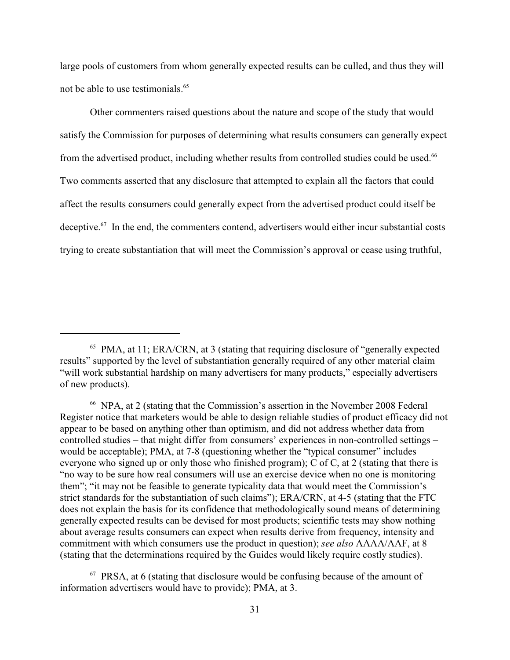large pools of customers from whom generally expected results can be culled, and thus they will not be able to use testimonials.<sup>65</sup>

Other commenters raised questions about the nature and scope of the study that would satisfy the Commission for purposes of determining what results consumers can generally expect from the advertised product, including whether results from controlled studies could be used.<sup>66</sup> Two comments asserted that any disclosure that attempted to explain all the factors that could affect the results consumers could generally expect from the advertised product could itself be deceptive.  $67$  In the end, the commenters contend, advertisers would either incur substantial costs trying to create substantiation that will meet the Commission's approval or cease using truthful,

 $67$  PRSA, at 6 (stating that disclosure would be confusing because of the amount of information advertisers would have to provide); PMA, at 3.

 $<sup>65</sup>$  PMA, at 11; ERA/CRN, at 3 (stating that requiring disclosure of "generally expected</sup> results" supported by the level of substantiation generally required of any other material claim "will work substantial hardship on many advertisers for many products," especially advertisers of new products).

<sup>&</sup>lt;sup>66</sup> NPA, at 2 (stating that the Commission's assertion in the November 2008 Federal Register notice that marketers would be able to design reliable studies of product efficacy did not appear to be based on anything other than optimism, and did not address whether data from controlled studies – that might differ from consumers' experiences in non-controlled settings – would be acceptable); PMA, at 7-8 (questioning whether the "typical consumer" includes everyone who signed up or only those who finished program); C of C, at 2 (stating that there is "no way to be sure how real consumers will use an exercise device when no one is monitoring them"; "it may not be feasible to generate typicality data that would meet the Commission's strict standards for the substantiation of such claims"); ERA/CRN, at 4-5 (stating that the FTC does not explain the basis for its confidence that methodologically sound means of determining generally expected results can be devised for most products; scientific tests may show nothing about average results consumers can expect when results derive from frequency, intensity and commitment with which consumers use the product in question); *see also* AAAA/AAF, at 8 (stating that the determinations required by the Guides would likely require costly studies).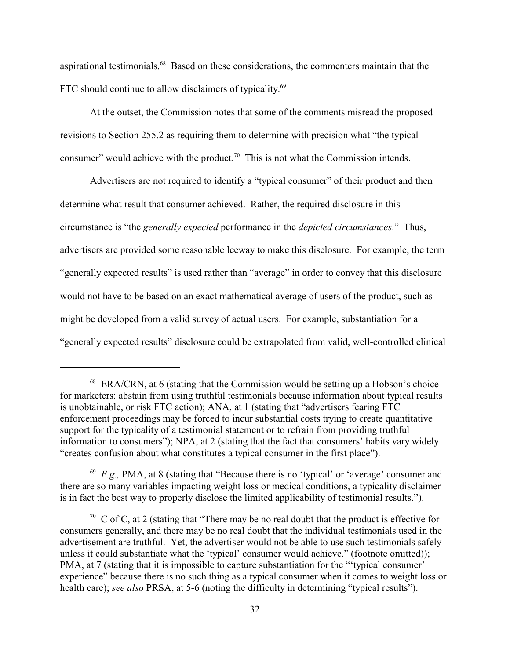aspirational testimonials.<sup>68</sup> Based on these considerations, the commenters maintain that the FTC should continue to allow disclaimers of typicality.<sup>69</sup>

At the outset, the Commission notes that some of the comments misread the proposed revisions to Section 255.2 as requiring them to determine with precision what "the typical consumer" would achieve with the product.<sup>70</sup> This is not what the Commission intends.

Advertisers are not required to identify a "typical consumer" of their product and then determine what result that consumer achieved. Rather, the required disclosure in this circumstance is "the *generally expected* performance in the *depicted circumstances*." Thus, advertisers are provided some reasonable leeway to make this disclosure. For example, the term "generally expected results" is used rather than "average" in order to convey that this disclosure would not have to be based on an exact mathematical average of users of the product, such as might be developed from a valid survey of actual users. For example, substantiation for a "generally expected results" disclosure could be extrapolated from valid, well-controlled clinical

ERA/CRN, at 6 (stating that the Commission would be setting up a Hobson's choice 68 for marketers: abstain from using truthful testimonials because information about typical results is unobtainable, or risk FTC action); ANA, at 1 (stating that "advertisers fearing FTC enforcement proceedings may be forced to incur substantial costs trying to create quantitative support for the typicality of a testimonial statement or to refrain from providing truthful information to consumers"); NPA, at 2 (stating that the fact that consumers' habits vary widely "creates confusion about what constitutes a typical consumer in the first place").

 $E.g., PMA, at 8$  (stating that "Because there is no 'typical' or 'average' consumer and there are so many variables impacting weight loss or medical conditions, a typicality disclaimer is in fact the best way to properly disclose the limited applicability of testimonial results.").

<sup>&</sup>lt;sup>70</sup> C of C, at 2 (stating that "There may be no real doubt that the product is effective for consumers generally, and there may be no real doubt that the individual testimonials used in the advertisement are truthful. Yet, the advertiser would not be able to use such testimonials safely unless it could substantiate what the 'typical' consumer would achieve." (footnote omitted)); PMA, at 7 (stating that it is impossible to capture substantiation for the "'typical consumer' experience" because there is no such thing as a typical consumer when it comes to weight loss or health care); *see also* PRSA, at 5-6 (noting the difficulty in determining "typical results").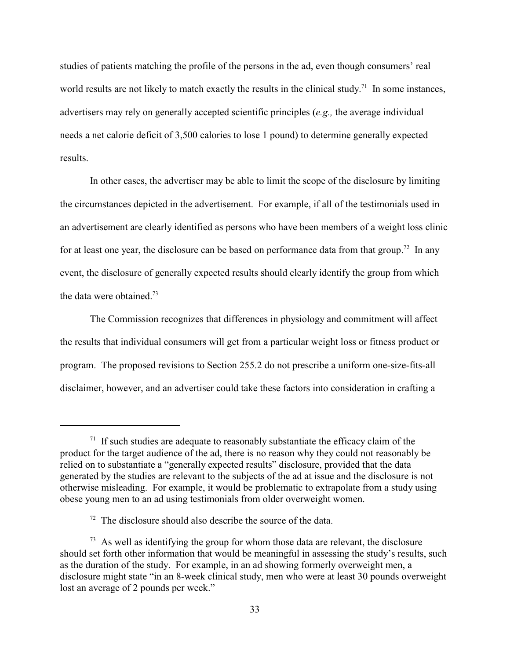studies of patients matching the profile of the persons in the ad, even though consumers' real world results are not likely to match exactly the results in the clinical study.<sup>71</sup> In some instances, advertisers may rely on generally accepted scientific principles (*e.g.,* the average individual needs a net calorie deficit of 3,500 calories to lose 1 pound) to determine generally expected results.

In other cases, the advertiser may be able to limit the scope of the disclosure by limiting the circumstances depicted in the advertisement. For example, if all of the testimonials used in an advertisement are clearly identified as persons who have been members of a weight loss clinic for at least one year, the disclosure can be based on performance data from that group.<sup>72</sup> In any event, the disclosure of generally expected results should clearly identify the group from which the data were obtained. $73$ 

The Commission recognizes that differences in physiology and commitment will affect the results that individual consumers will get from a particular weight loss or fitness product or program. The proposed revisions to Section 255.2 do not prescribe a uniform one-size-fits-all disclaimer, however, and an advertiser could take these factors into consideration in crafting a

<sup>&</sup>lt;sup> $71$ </sup> If such studies are adequate to reasonably substantiate the efficacy claim of the product for the target audience of the ad, there is no reason why they could not reasonably be relied on to substantiate a "generally expected results" disclosure, provided that the data generated by the studies are relevant to the subjects of the ad at issue and the disclosure is not otherwise misleading. For example, it would be problematic to extrapolate from a study using obese young men to an ad using testimonials from older overweight women.

 $12$  The disclosure should also describe the source of the data.

 $73$  As well as identifying the group for whom those data are relevant, the disclosure should set forth other information that would be meaningful in assessing the study's results, such as the duration of the study. For example, in an ad showing formerly overweight men, a disclosure might state "in an 8-week clinical study, men who were at least 30 pounds overweight lost an average of 2 pounds per week."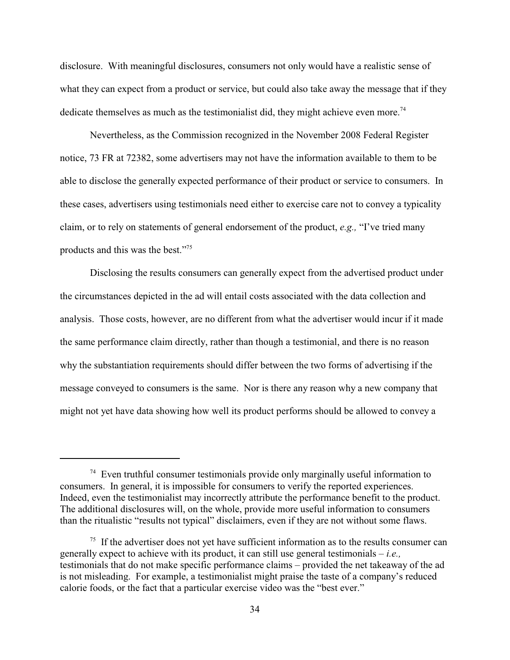disclosure. With meaningful disclosures, consumers not only would have a realistic sense of what they can expect from a product or service, but could also take away the message that if they dedicate themselves as much as the testimonialist did, they might achieve even more.<sup>74</sup>

Nevertheless, as the Commission recognized in the November 2008 Federal Register notice, 73 FR at 72382, some advertisers may not have the information available to them to be able to disclose the generally expected performance of their product or service to consumers. In these cases, advertisers using testimonials need either to exercise care not to convey a typicality claim, or to rely on statements of general endorsement of the product, *e.g.,* "I've tried many products and this was the best."<sup>75</sup>

Disclosing the results consumers can generally expect from the advertised product under the circumstances depicted in the ad will entail costs associated with the data collection and analysis. Those costs, however, are no different from what the advertiser would incur if it made the same performance claim directly, rather than though a testimonial, and there is no reason why the substantiation requirements should differ between the two forms of advertising if the message conveyed to consumers is the same. Nor is there any reason why a new company that might not yet have data showing how well its product performs should be allowed to convey a

 $14$  Even truthful consumer testimonials provide only marginally useful information to consumers. In general, it is impossible for consumers to verify the reported experiences. Indeed, even the testimonialist may incorrectly attribute the performance benefit to the product. The additional disclosures will, on the whole, provide more useful information to consumers than the ritualistic "results not typical" disclaimers, even if they are not without some flaws.

 $15$  If the advertiser does not yet have sufficient information as to the results consumer can generally expect to achieve with its product, it can still use general testimonials – *i.e.,* testimonials that do not make specific performance claims – provided the net takeaway of the ad is not misleading. For example, a testimonialist might praise the taste of a company's reduced calorie foods, or the fact that a particular exercise video was the "best ever."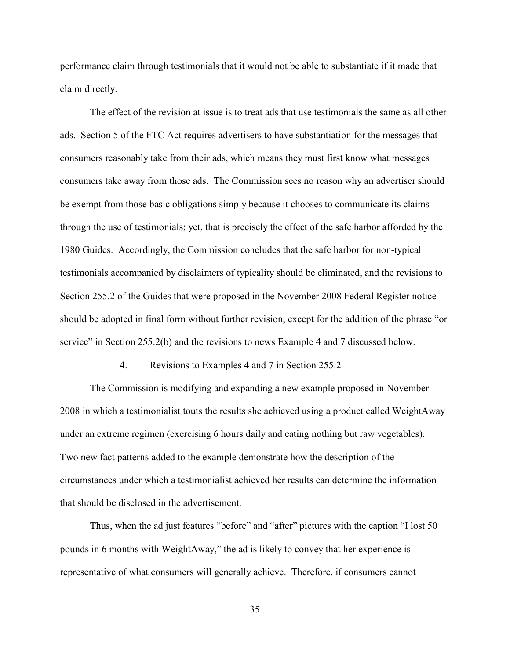performance claim through testimonials that it would not be able to substantiate if it made that claim directly.

The effect of the revision at issue is to treat ads that use testimonials the same as all other ads. Section 5 of the FTC Act requires advertisers to have substantiation for the messages that consumers reasonably take from their ads, which means they must first know what messages consumers take away from those ads. The Commission sees no reason why an advertiser should be exempt from those basic obligations simply because it chooses to communicate its claims through the use of testimonials; yet, that is precisely the effect of the safe harbor afforded by the 1980 Guides. Accordingly, the Commission concludes that the safe harbor for non-typical testimonials accompanied by disclaimers of typicality should be eliminated, and the revisions to Section 255.2 of the Guides that were proposed in the November 2008 Federal Register notice should be adopted in final form without further revision, except for the addition of the phrase "or service" in Section 255.2(b) and the revisions to news Example 4 and 7 discussed below.

#### 4. Revisions to Examples 4 and 7 in Section 255.2

The Commission is modifying and expanding a new example proposed in November 2008 in which a testimonialist touts the results she achieved using a product called WeightAway under an extreme regimen (exercising 6 hours daily and eating nothing but raw vegetables). Two new fact patterns added to the example demonstrate how the description of the circumstances under which a testimonialist achieved her results can determine the information that should be disclosed in the advertisement.

Thus, when the ad just features "before" and "after" pictures with the caption "I lost 50 pounds in 6 months with WeightAway," the ad is likely to convey that her experience is representative of what consumers will generally achieve. Therefore, if consumers cannot

35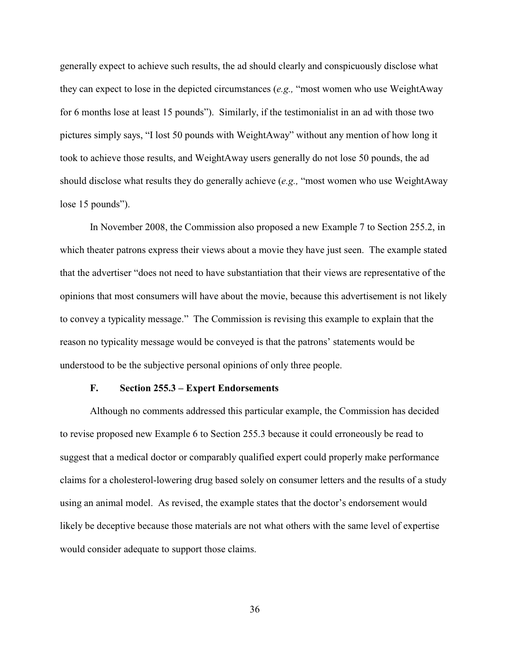generally expect to achieve such results, the ad should clearly and conspicuously disclose what they can expect to lose in the depicted circumstances (*e.g.,* "most women who use WeightAway for 6 months lose at least 15 pounds"). Similarly, if the testimonialist in an ad with those two pictures simply says, "I lost 50 pounds with WeightAway" without any mention of how long it took to achieve those results, and WeightAway users generally do not lose 50 pounds, the ad should disclose what results they do generally achieve (*e.g.,* "most women who use WeightAway lose 15 pounds").

In November 2008, the Commission also proposed a new Example 7 to Section 255.2, in which theater patrons express their views about a movie they have just seen. The example stated that the advertiser "does not need to have substantiation that their views are representative of the opinions that most consumers will have about the movie, because this advertisement is not likely to convey a typicality message." The Commission is revising this example to explain that the reason no typicality message would be conveyed is that the patrons' statements would be understood to be the subjective personal opinions of only three people.

#### **F. Section 255.3 – Expert Endorsements**

Although no comments addressed this particular example, the Commission has decided to revise proposed new Example 6 to Section 255.3 because it could erroneously be read to suggest that a medical doctor or comparably qualified expert could properly make performance claims for a cholesterol-lowering drug based solely on consumer letters and the results of a study using an animal model. As revised, the example states that the doctor's endorsement would likely be deceptive because those materials are not what others with the same level of expertise would consider adequate to support those claims.

36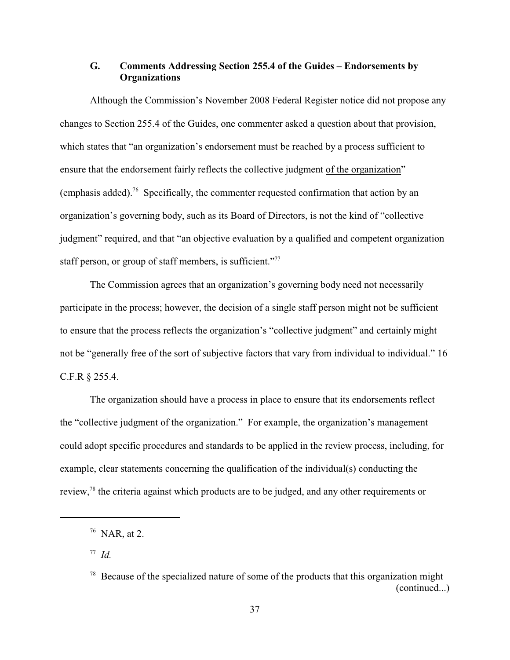# **G. Comments Addressing Section 255.4 of the Guides – Endorsements by Organizations**

Although the Commission's November 2008 Federal Register notice did not propose any changes to Section 255.4 of the Guides, one commenter asked a question about that provision, which states that "an organization's endorsement must be reached by a process sufficient to ensure that the endorsement fairly reflects the collective judgment of the organization" (emphasis added).<sup>76</sup> Specifically, the commenter requested confirmation that action by an organization's governing body, such as its Board of Directors, is not the kind of "collective judgment" required, and that "an objective evaluation by a qualified and competent organization staff person, or group of staff members, is sufficient."<sup>77</sup>

The Commission agrees that an organization's governing body need not necessarily participate in the process; however, the decision of a single staff person might not be sufficient to ensure that the process reflects the organization's "collective judgment" and certainly might not be "generally free of the sort of subjective factors that vary from individual to individual." 16 C.F.R § 255.4.

The organization should have a process in place to ensure that its endorsements reflect the "collective judgment of the organization." For example, the organization's management could adopt specific procedures and standards to be applied in the review process, including, for example, clear statements concerning the qualification of the individual(s) conducting the review,  $78$  the criteria against which products are to be judged, and any other requirements or

 $\overline{d}$ . *Id.* 

 $76$  NAR, at 2.

 $78$  Because of the specialized nature of some of the products that this organization might (continued...)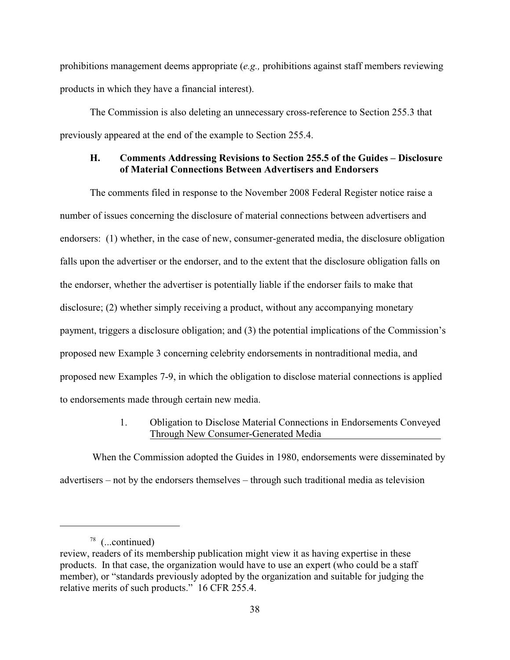prohibitions management deems appropriate (*e.g.,* prohibitions against staff members reviewing products in which they have a financial interest).

The Commission is also deleting an unnecessary cross-reference to Section 255.3 that previously appeared at the end of the example to Section 255.4.

## **H. Comments Addressing Revisions to Section 255.5 of the Guides – Disclosure of Material Connections Between Advertisers and Endorsers**

The comments filed in response to the November 2008 Federal Register notice raise a number of issues concerning the disclosure of material connections between advertisers and endorsers: (1) whether, in the case of new, consumer-generated media, the disclosure obligation falls upon the advertiser or the endorser, and to the extent that the disclosure obligation falls on the endorser, whether the advertiser is potentially liable if the endorser fails to make that disclosure; (2) whether simply receiving a product, without any accompanying monetary payment, triggers a disclosure obligation; and (3) the potential implications of the Commission's proposed new Example 3 concerning celebrity endorsements in nontraditional media, and proposed new Examples 7-9, in which the obligation to disclose material connections is applied to endorsements made through certain new media.

> 1. Obligation to Disclose Material Connections in Endorsements Conveyed Through New Consumer-Generated Media

 When the Commission adopted the Guides in 1980, endorsements were disseminated by advertisers – not by the endorsers themselves – through such traditional media as television

 $78$  (...continued)

review, readers of its membership publication might view it as having expertise in these products. In that case, the organization would have to use an expert (who could be a staff member), or "standards previously adopted by the organization and suitable for judging the relative merits of such products." 16 CFR 255.4.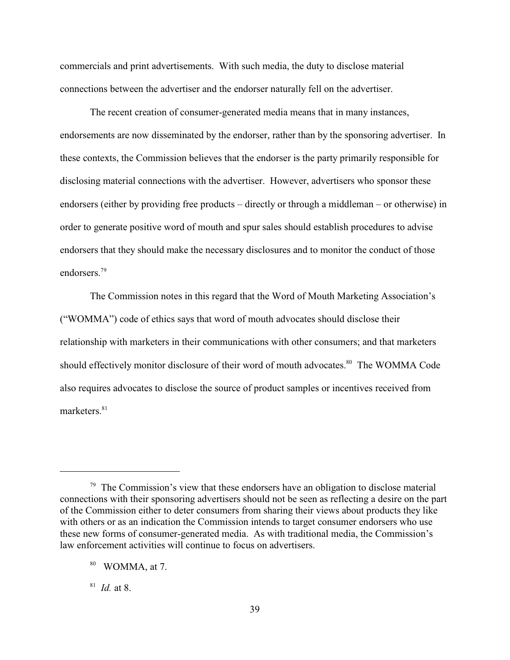commercials and print advertisements. With such media, the duty to disclose material connections between the advertiser and the endorser naturally fell on the advertiser.

The recent creation of consumer-generated media means that in many instances, endorsements are now disseminated by the endorser, rather than by the sponsoring advertiser. In these contexts, the Commission believes that the endorser is the party primarily responsible for disclosing material connections with the advertiser. However, advertisers who sponsor these endorsers (either by providing free products – directly or through a middleman – or otherwise) in order to generate positive word of mouth and spur sales should establish procedures to advise endorsers that they should make the necessary disclosures and to monitor the conduct of those endorsers. 79

The Commission notes in this regard that the Word of Mouth Marketing Association's ("WOMMA") code of ethics says that word of mouth advocates should disclose their relationship with marketers in their communications with other consumers; and that marketers should effectively monitor disclosure of their word of mouth advocates.<sup>80</sup> The WOMMA Code also requires advocates to disclose the source of product samples or incentives received from marketers. 81

 $^{81}$  *Id.* at 8.

 $79$  The Commission's view that these endorsers have an obligation to disclose material connections with their sponsoring advertisers should not be seen as reflecting a desire on the part of the Commission either to deter consumers from sharing their views about products they like with others or as an indication the Commission intends to target consumer endorsers who use these new forms of consumer-generated media. As with traditional media, the Commission's law enforcement activities will continue to focus on advertisers.

 $80$  WOMMA, at 7.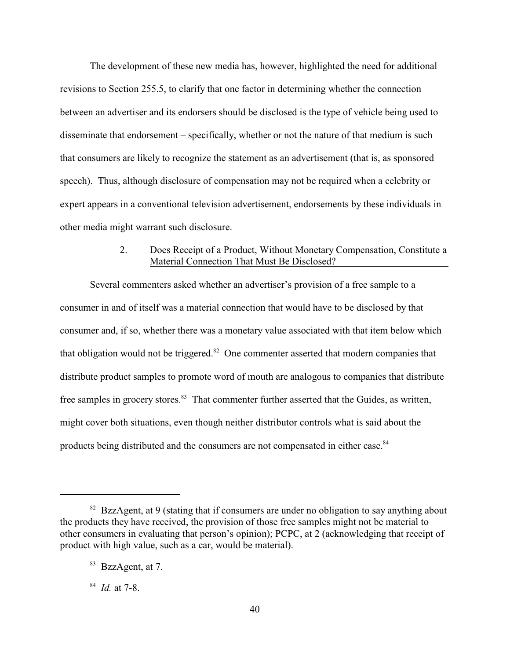The development of these new media has, however, highlighted the need for additional revisions to Section 255.5, to clarify that one factor in determining whether the connection between an advertiser and its endorsers should be disclosed is the type of vehicle being used to disseminate that endorsement – specifically, whether or not the nature of that medium is such that consumers are likely to recognize the statement as an advertisement (that is, as sponsored speech). Thus, although disclosure of compensation may not be required when a celebrity or expert appears in a conventional television advertisement, endorsements by these individuals in other media might warrant such disclosure.

# 2. Does Receipt of a Product, Without Monetary Compensation, Constitute a Material Connection That Must Be Disclosed?

Several commenters asked whether an advertiser's provision of a free sample to a consumer in and of itself was a material connection that would have to be disclosed by that consumer and, if so, whether there was a monetary value associated with that item below which that obligation would not be triggered. $82$  One commenter asserted that modern companies that distribute product samples to promote word of mouth are analogous to companies that distribute free samples in grocery stores.<sup>83</sup> That commenter further asserted that the Guides, as written, might cover both situations, even though neither distributor controls what is said about the products being distributed and the consumers are not compensated in either case.<sup>84</sup>

 $82$  BzzAgent, at 9 (stating that if consumers are under no obligation to say anything about the products they have received, the provision of those free samples might not be material to other consumers in evaluating that person's opinion); PCPC, at 2 (acknowledging that receipt of product with high value, such as a car, would be material).

 $83$  BzzAgent, at 7.

 $^{84}$  *Id.* at 7-8.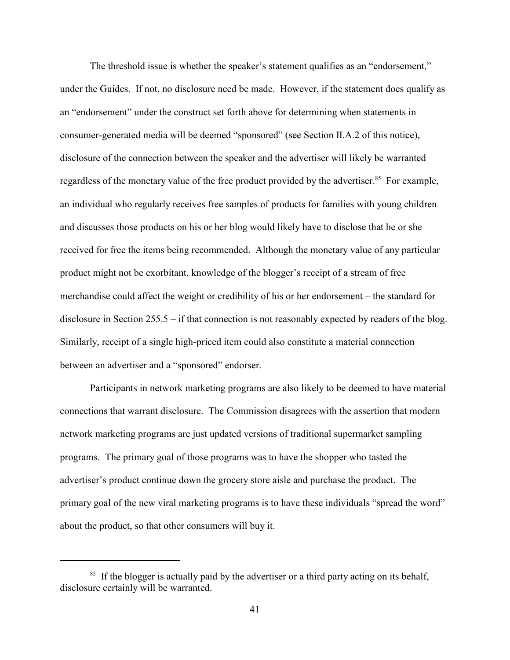The threshold issue is whether the speaker's statement qualifies as an "endorsement," under the Guides. If not, no disclosure need be made. However, if the statement does qualify as an "endorsement" under the construct set forth above for determining when statements in consumer-generated media will be deemed "sponsored" (see Section II.A.2 of this notice), disclosure of the connection between the speaker and the advertiser will likely be warranted regardless of the monetary value of the free product provided by the advertiser.<sup>85</sup> For example, an individual who regularly receives free samples of products for families with young children and discusses those products on his or her blog would likely have to disclose that he or she received for free the items being recommended. Although the monetary value of any particular product might not be exorbitant, knowledge of the blogger's receipt of a stream of free merchandise could affect the weight or credibility of his or her endorsement – the standard for disclosure in Section 255.5 – if that connection is not reasonably expected by readers of the blog. Similarly, receipt of a single high-priced item could also constitute a material connection between an advertiser and a "sponsored" endorser.

Participants in network marketing programs are also likely to be deemed to have material connections that warrant disclosure. The Commission disagrees with the assertion that modern network marketing programs are just updated versions of traditional supermarket sampling programs. The primary goal of those programs was to have the shopper who tasted the advertiser's product continue down the grocery store aisle and purchase the product. The primary goal of the new viral marketing programs is to have these individuals "spread the word" about the product, so that other consumers will buy it.

<sup>&</sup>lt;sup>85</sup> If the blogger is actually paid by the advertiser or a third party acting on its behalf, disclosure certainly will be warranted.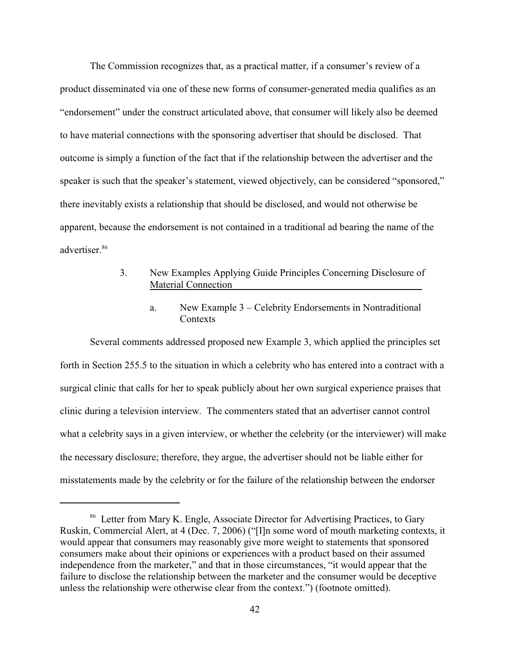The Commission recognizes that, as a practical matter, if a consumer's review of a product disseminated via one of these new forms of consumer-generated media qualifies as an "endorsement" under the construct articulated above, that consumer will likely also be deemed to have material connections with the sponsoring advertiser that should be disclosed. That outcome is simply a function of the fact that if the relationship between the advertiser and the speaker is such that the speaker's statement, viewed objectively, can be considered "sponsored," there inevitably exists a relationship that should be disclosed, and would not otherwise be apparent, because the endorsement is not contained in a traditional ad bearing the name of the advertiser<sup>86</sup>

# 3. New Examples Applying Guide Principles Concerning Disclosure of Material Connection

a. New Example 3 – Celebrity Endorsements in Nontraditional Contexts

Several comments addressed proposed new Example 3, which applied the principles set forth in Section 255.5 to the situation in which a celebrity who has entered into a contract with a surgical clinic that calls for her to speak publicly about her own surgical experience praises that clinic during a television interview. The commenters stated that an advertiser cannot control what a celebrity says in a given interview, or whether the celebrity (or the interviewer) will make the necessary disclosure; therefore, they argue, the advertiser should not be liable either for misstatements made by the celebrity or for the failure of the relationship between the endorser

<sup>&</sup>lt;sup>86</sup> Letter from Mary K. Engle, Associate Director for Advertising Practices, to Gary Ruskin, Commercial Alert, at 4 (Dec. 7, 2006) ("[I]n some word of mouth marketing contexts, it would appear that consumers may reasonably give more weight to statements that sponsored consumers make about their opinions or experiences with a product based on their assumed independence from the marketer," and that in those circumstances, "it would appear that the failure to disclose the relationship between the marketer and the consumer would be deceptive unless the relationship were otherwise clear from the context.") (footnote omitted).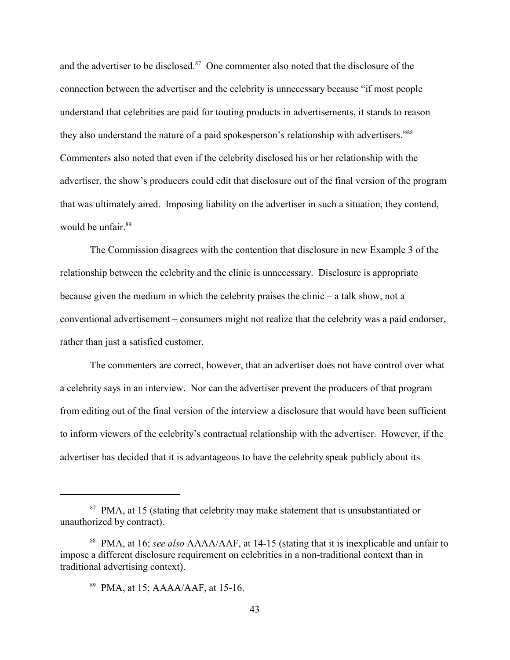and the advertiser to be disclosed. $87$  One commenter also noted that the disclosure of the connection between the advertiser and the celebrity is unnecessary because "if most people understand that celebrities are paid for touting products in advertisements, it stands to reason they also understand the nature of a paid spokesperson's relationship with advertisers."<sup>88</sup> Commenters also noted that even if the celebrity disclosed his or her relationship with the advertiser, the show's producers could edit that disclosure out of the final version of the program that was ultimately aired. Imposing liability on the advertiser in such a situation, they contend, would be unfair  $89$ .

The Commission disagrees with the contention that disclosure in new Example 3 of the relationship between the celebrity and the clinic is unnecessary. Disclosure is appropriate because given the medium in which the celebrity praises the clinic – a talk show, not a conventional advertisement – consumers might not realize that the celebrity was a paid endorser, rather than just a satisfied customer.

The commenters are correct, however, that an advertiser does not have control over what a celebrity says in an interview. Nor can the advertiser prevent the producers of that program from editing out of the final version of the interview a disclosure that would have been sufficient to inform viewers of the celebrity's contractual relationship with the advertiser. However, if the advertiser has decided that it is advantageous to have the celebrity speak publicly about its

<sup>&</sup>lt;sup>87</sup> PMA, at 15 (stating that celebrity may make statement that is unsubstantiated or unauthorized by contract).

<sup>&</sup>lt;sup>88</sup> PMA, at 16; *see also* AAAA/AAF, at 14-15 (stating that it is inexplicable and unfair to impose a different disclosure requirement on celebrities in a non-traditional context than in traditional advertising context).

<sup>&</sup>lt;sup>89</sup> PMA, at 15; AAAA/AAF, at 15-16.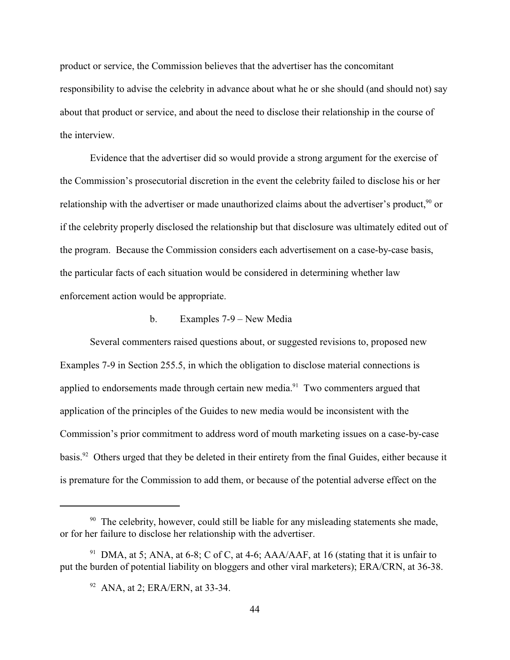product or service, the Commission believes that the advertiser has the concomitant responsibility to advise the celebrity in advance about what he or she should (and should not) say about that product or service, and about the need to disclose their relationship in the course of the interview.

Evidence that the advertiser did so would provide a strong argument for the exercise of the Commission's prosecutorial discretion in the event the celebrity failed to disclose his or her relationship with the advertiser or made unauthorized claims about the advertiser's product,  $90$  or if the celebrity properly disclosed the relationship but that disclosure was ultimately edited out of the program. Because the Commission considers each advertisement on a case-by-case basis, the particular facts of each situation would be considered in determining whether law enforcement action would be appropriate.

## b. Examples 7-9 – New Media

Several commenters raised questions about, or suggested revisions to, proposed new Examples 7-9 in Section 255.5, in which the obligation to disclose material connections is applied to endorsements made through certain new media. $91$  Two commenters argued that application of the principles of the Guides to new media would be inconsistent with the Commission's prior commitment to address word of mouth marketing issues on a case-by-case basis.<sup>92</sup> Others urged that they be deleted in their entirety from the final Guides, either because it is premature for the Commission to add them, or because of the potential adverse effect on the

 $90$  The celebrity, however, could still be liable for any misleading statements she made, or for her failure to disclose her relationship with the advertiser.

<sup>&</sup>lt;sup>91</sup> DMA, at 5; ANA, at 6-8; C of C, at 4-6; AAA/AAF, at 16 (stating that it is unfair to put the burden of potential liability on bloggers and other viral marketers); ERA/CRN, at 36-38.

 $92$  ANA, at 2; ERA/ERN, at 33-34.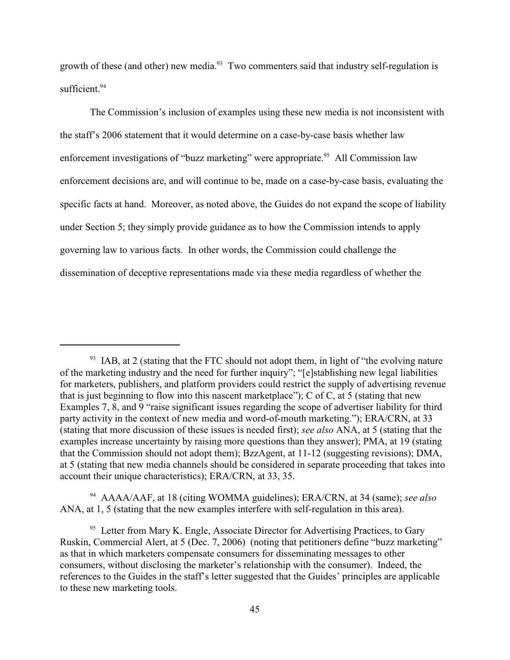growth of these (and other) new media.<sup>93</sup> Two commenters said that industry self-regulation is sufficient.<sup>94</sup>

The Commission's inclusion of examples using these new media is not inconsistent with the staff's 2006 statement that it would determine on a case-by-case basis whether law enforcement investigations of "buzz marketing" were appropriate.<sup>95</sup> All Commission law enforcement decisions are, and will continue to be, made on a case-by-case basis, evaluating the specific facts at hand. Moreover, as noted above, the Guides do not expand the scope of liability under Section 5; they simply provide guidance as to how the Commission intends to apply governing law to various facts. In other words, the Commission could challenge the dissemination of deceptive representations made via these media regardless of whether the

 AAAA/AAF, at 18 (citing WOMMA guidelines); ERA/CRN, at 34 (same); *see also* 94 ANA, at 1, 5 (stating that the new examples interfere with self-regulation in this area).

 $93$  IAB, at 2 (stating that the FTC should not adopt them, in light of "the evolving nature of the marketing industry and the need for further inquiry"; "[e]stablishing new legal liabilities for marketers, publishers, and platform providers could restrict the supply of advertising revenue that is just beginning to flow into this nascent marketplace"); C of C, at 5 (stating that new Examples 7, 8, and 9 "raise significant issues regarding the scope of advertiser liability for third party activity in the context of new media and word-of-mouth marketing."); ERA/CRN, at 33 (stating that more discussion of these issues is needed first); *see also* ANA, at 5 (stating that the examples increase uncertainty by raising more questions than they answer); PMA, at 19 (stating that the Commission should not adopt them); BzzAgent, at 11-12 (suggesting revisions); DMA, at 5 (stating that new media channels should be considered in separate proceeding that takes into account their unique characteristics); ERA/CRN, at 33, 35.

 $95$  Letter from Mary K. Engle, Associate Director for Advertising Practices, to Gary Ruskin, Commercial Alert, at 5 (Dec. 7, 2006) (noting that petitioners define "buzz marketing" as that in which marketers compensate consumers for disseminating messages to other consumers, without disclosing the marketer's relationship with the consumer). Indeed, the references to the Guides in the staff's letter suggested that the Guides' principles are applicable to these new marketing tools.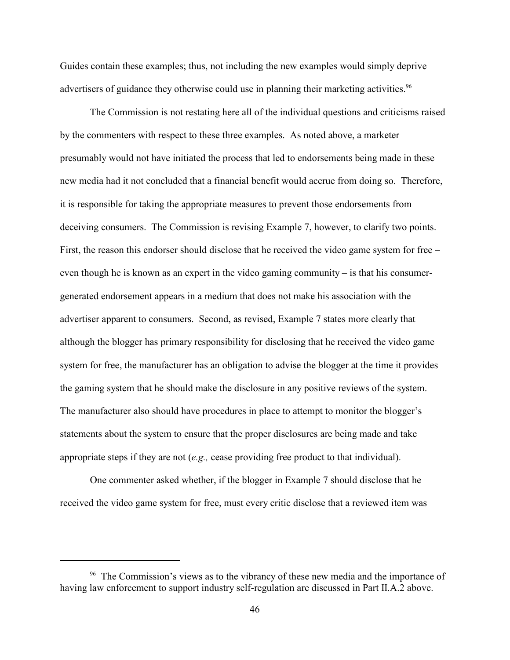Guides contain these examples; thus, not including the new examples would simply deprive advertisers of guidance they otherwise could use in planning their marketing activities.<sup>96</sup>

The Commission is not restating here all of the individual questions and criticisms raised by the commenters with respect to these three examples. As noted above, a marketer presumably would not have initiated the process that led to endorsements being made in these new media had it not concluded that a financial benefit would accrue from doing so. Therefore, it is responsible for taking the appropriate measures to prevent those endorsements from deceiving consumers. The Commission is revising Example 7, however, to clarify two points. First, the reason this endorser should disclose that he received the video game system for free – even though he is known as an expert in the video gaming community – is that his consumergenerated endorsement appears in a medium that does not make his association with the advertiser apparent to consumers. Second, as revised, Example 7 states more clearly that although the blogger has primary responsibility for disclosing that he received the video game system for free, the manufacturer has an obligation to advise the blogger at the time it provides the gaming system that he should make the disclosure in any positive reviews of the system. The manufacturer also should have procedures in place to attempt to monitor the blogger's statements about the system to ensure that the proper disclosures are being made and take appropriate steps if they are not (*e.g.,* cease providing free product to that individual).

One commenter asked whether, if the blogger in Example 7 should disclose that he received the video game system for free, must every critic disclose that a reviewed item was

<sup>&</sup>lt;sup>96</sup> The Commission's views as to the vibrancy of these new media and the importance of having law enforcement to support industry self-regulation are discussed in Part II.A.2 above.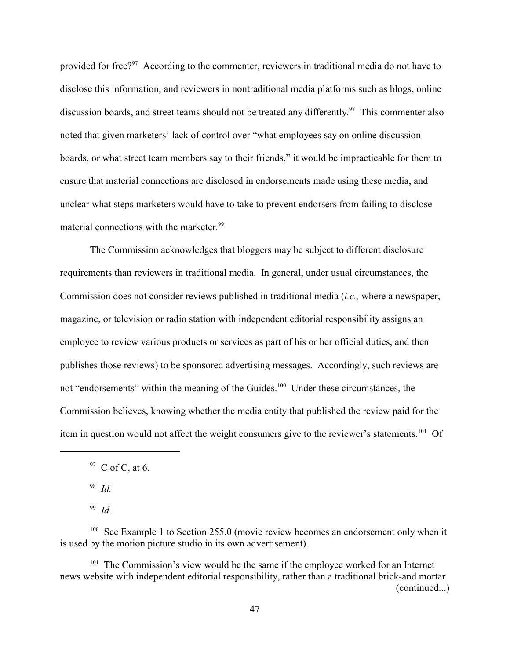provided for free?<sup> $97$ </sup> According to the commenter, reviewers in traditional media do not have to disclose this information, and reviewers in nontraditional media platforms such as blogs, online discussion boards, and street teams should not be treated any differently.<sup>98</sup> This commenter also noted that given marketers' lack of control over "what employees say on online discussion boards, or what street team members say to their friends," it would be impracticable for them to ensure that material connections are disclosed in endorsements made using these media, and unclear what steps marketers would have to take to prevent endorsers from failing to disclose material connections with the marketer.<sup>99</sup>

The Commission acknowledges that bloggers may be subject to different disclosure requirements than reviewers in traditional media. In general, under usual circumstances, the Commission does not consider reviews published in traditional media (*i.e.,* where a newspaper, magazine, or television or radio station with independent editorial responsibility assigns an employee to review various products or services as part of his or her official duties, and then publishes those reviews) to be sponsored advertising messages. Accordingly, such reviews are not "endorsements" within the meaning of the Guides.<sup>100</sup> Under these circumstances, the Commission believes, knowing whether the media entity that published the review paid for the item in question would not affect the weight consumers give to the reviewer's statements.<sup>101</sup> Of

*Id.* <sup>98</sup>

 $99$  *Id.* 

 $100$  See Example 1 to Section 255.0 (movie review becomes an endorsement only when it is used by the motion picture studio in its own advertisement).

 $101$  The Commission's view would be the same if the employee worked for an Internet news website with independent editorial responsibility, rather than a traditional brick-and mortar (continued...)

 $97$  C of C, at 6.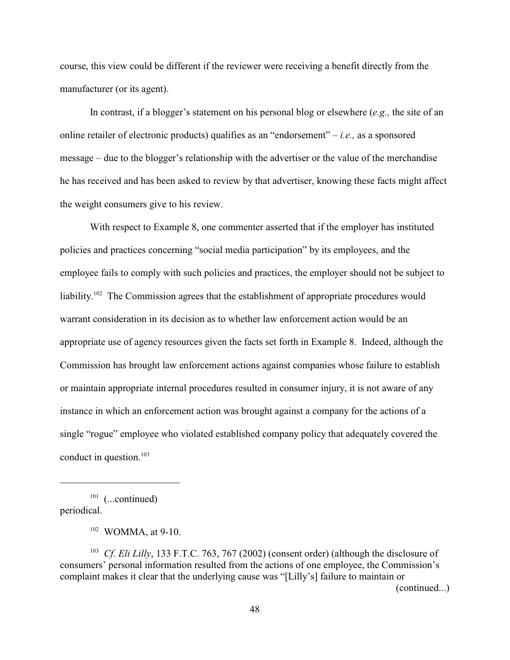course, this view could be different if the reviewer were receiving a benefit directly from the manufacturer (or its agent).

In contrast, if a blogger's statement on his personal blog or elsewhere (*e.g.,* the site of an online retailer of electronic products) qualifies as an "endorsement" – *i.e.,* as a sponsored message – due to the blogger's relationship with the advertiser or the value of the merchandise he has received and has been asked to review by that advertiser, knowing these facts might affect the weight consumers give to his review.

With respect to Example 8, one commenter asserted that if the employer has instituted policies and practices concerning "social media participation" by its employees, and the employee fails to comply with such policies and practices, the employer should not be subject to liability.  $102$  The Commission agrees that the establishment of appropriate procedures would warrant consideration in its decision as to whether law enforcement action would be an appropriate use of agency resources given the facts set forth in Example 8. Indeed, although the Commission has brought law enforcement actions against companies whose failure to establish or maintain appropriate internal procedures resulted in consumer injury, it is not aware of any instance in which an enforcement action was brought against a company for the actions of a single "rogue" employee who violated established company policy that adequately covered the conduct in question.<sup>103</sup>

 $101$  (...continued) periodical.

 $102$  WOMMA, at 9-10.

<sup>&</sup>lt;sup>103</sup> *Cf. Eli Lilly*, 133 F.T.C. 763, 767 (2002) (consent order) (although the disclosure of consumers' personal information resulted from the actions of one employee, the Commission's complaint makes it clear that the underlying cause was "[Lilly's] failure to maintain or (continued...)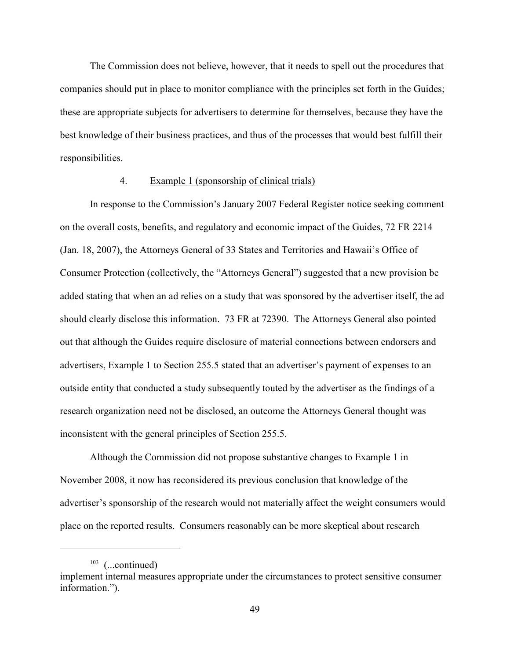The Commission does not believe, however, that it needs to spell out the procedures that companies should put in place to monitor compliance with the principles set forth in the Guides; these are appropriate subjects for advertisers to determine for themselves, because they have the best knowledge of their business practices, and thus of the processes that would best fulfill their responsibilities.

## 4. Example 1 (sponsorship of clinical trials)

In response to the Commission's January 2007 Federal Register notice seeking comment on the overall costs, benefits, and regulatory and economic impact of the Guides, 72 FR 2214 (Jan. 18, 2007), the Attorneys General of 33 States and Territories and Hawaii's Office of Consumer Protection (collectively, the "Attorneys General") suggested that a new provision be added stating that when an ad relies on a study that was sponsored by the advertiser itself, the ad should clearly disclose this information. 73 FR at 72390. The Attorneys General also pointed out that although the Guides require disclosure of material connections between endorsers and advertisers, Example 1 to Section 255.5 stated that an advertiser's payment of expenses to an outside entity that conducted a study subsequently touted by the advertiser as the findings of a research organization need not be disclosed, an outcome the Attorneys General thought was inconsistent with the general principles of Section 255.5.

Although the Commission did not propose substantive changes to Example 1 in November 2008, it now has reconsidered its previous conclusion that knowledge of the advertiser's sponsorship of the research would not materially affect the weight consumers would place on the reported results. Consumers reasonably can be more skeptical about research

 $103$  (...continued)

implement internal measures appropriate under the circumstances to protect sensitive consumer information.").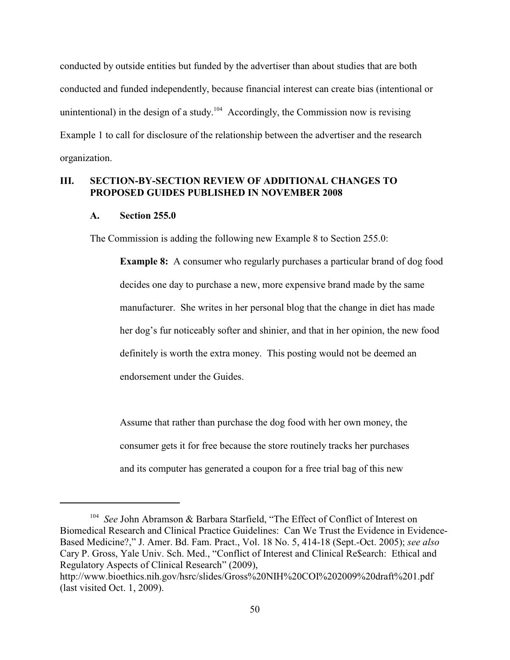conducted by outside entities but funded by the advertiser than about studies that are both conducted and funded independently, because financial interest can create bias (intentional or unintentional) in the design of a study.  $104$  Accordingly, the Commission now is revising Example 1 to call for disclosure of the relationship between the advertiser and the research organization.

## **III. SECTION-BY-SECTION REVIEW OF ADDITIONAL CHANGES TO PROPOSED GUIDES PUBLISHED IN NOVEMBER 2008**

### **A. Section 255.0**

The Commission is adding the following new Example 8 to Section 255.0:

**Example 8:** A consumer who regularly purchases a particular brand of dog food decides one day to purchase a new, more expensive brand made by the same manufacturer. She writes in her personal blog that the change in diet has made her dog's fur noticeably softer and shinier, and that in her opinion, the new food definitely is worth the extra money. This posting would not be deemed an endorsement under the Guides.

Assume that rather than purchase the dog food with her own money, the consumer gets it for free because the store routinely tracks her purchases and its computer has generated a coupon for a free trial bag of this new

<sup>&</sup>lt;sup>104</sup> See John Abramson & Barbara Starfield, "The Effect of Conflict of Interest on Biomedical Research and Clinical Practice Guidelines: Can We Trust the Evidence in Evidence-Based Medicine?," J. Amer. Bd. Fam. Pract., Vol. 18 No. 5, 414-18 (Sept.-Oct. 2005); *see also* Cary P. Gross, Yale Univ. Sch. Med., "Conflict of Interest and Clinical Re\$earch: Ethical and Regulatory Aspects of Clinical Research" (2009), http://www.bioethics.nih.gov/hsrc/slides/Gross%20NIH%20COI%202009%20draft%201.pdf

<sup>(</sup>last visited Oct. 1, 2009).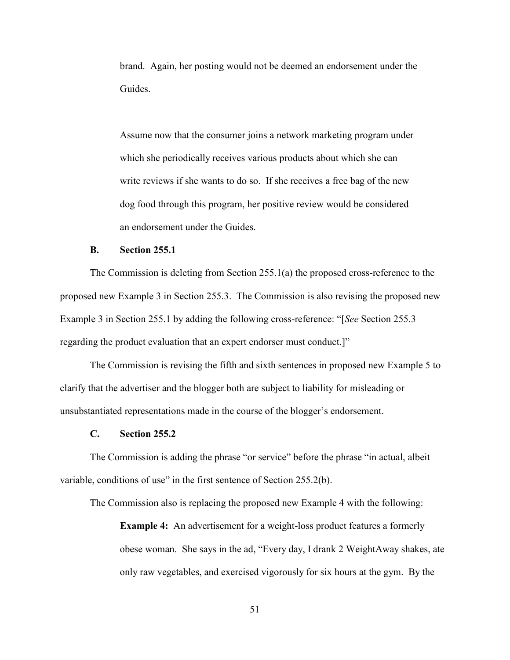brand. Again, her posting would not be deemed an endorsement under the Guides.

Assume now that the consumer joins a network marketing program under which she periodically receives various products about which she can write reviews if she wants to do so. If she receives a free bag of the new dog food through this program, her positive review would be considered an endorsement under the Guides.

### **B. Section 255.1**

The Commission is deleting from Section 255.1(a) the proposed cross-reference to the proposed new Example 3 in Section 255.3. The Commission is also revising the proposed new Example 3 in Section 255.1 by adding the following cross-reference: "[*See* Section 255.3 regarding the product evaluation that an expert endorser must conduct.]"

The Commission is revising the fifth and sixth sentences in proposed new Example 5 to clarify that the advertiser and the blogger both are subject to liability for misleading or unsubstantiated representations made in the course of the blogger's endorsement.

#### **C. Section 255.2**

The Commission is adding the phrase "or service" before the phrase "in actual, albeit variable, conditions of use" in the first sentence of Section 255.2(b).

The Commission also is replacing the proposed new Example 4 with the following:

**Example 4:** An advertisement for a weight-loss product features a formerly obese woman. She says in the ad, "Every day, I drank 2 WeightAway shakes, ate only raw vegetables, and exercised vigorously for six hours at the gym. By the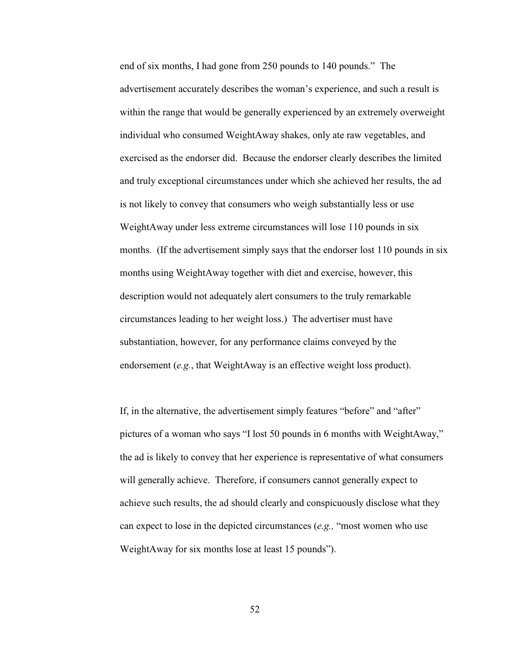end of six months, I had gone from 250 pounds to 140 pounds." The advertisement accurately describes the woman's experience, and such a result is within the range that would be generally experienced by an extremely overweight individual who consumed WeightAway shakes, only ate raw vegetables, and exercised as the endorser did. Because the endorser clearly describes the limited and truly exceptional circumstances under which she achieved her results, the ad is not likely to convey that consumers who weigh substantially less or use WeightAway under less extreme circumstances will lose 110 pounds in six months. (If the advertisement simply says that the endorser lost 110 pounds in six months using WeightAway together with diet and exercise, however, this description would not adequately alert consumers to the truly remarkable circumstances leading to her weight loss.) The advertiser must have substantiation, however, for any performance claims conveyed by the endorsement (*e.g.*, that WeightAway is an effective weight loss product).

If, in the alternative, the advertisement simply features "before" and "after" pictures of a woman who says "I lost 50 pounds in 6 months with WeightAway," the ad is likely to convey that her experience is representative of what consumers will generally achieve. Therefore, if consumers cannot generally expect to achieve such results, the ad should clearly and conspicuously disclose what they can expect to lose in the depicted circumstances (*e.g.,* "most women who use WeightAway for six months lose at least 15 pounds").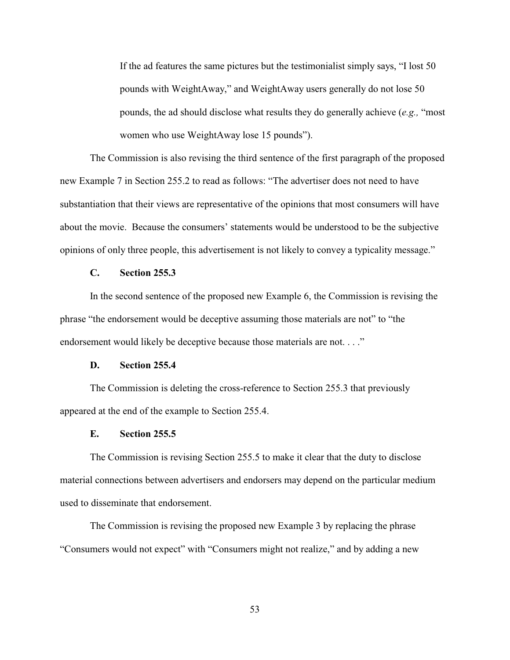If the ad features the same pictures but the testimonialist simply says, "I lost 50 pounds with WeightAway," and WeightAway users generally do not lose 50 pounds, the ad should disclose what results they do generally achieve (*e.g.,* "most women who use WeightAway lose 15 pounds").

The Commission is also revising the third sentence of the first paragraph of the proposed new Example 7 in Section 255.2 to read as follows: "The advertiser does not need to have substantiation that their views are representative of the opinions that most consumers will have about the movie. Because the consumers' statements would be understood to be the subjective opinions of only three people, this advertisement is not likely to convey a typicality message."

## **C. Section 255.3**

In the second sentence of the proposed new Example 6, the Commission is revising the phrase "the endorsement would be deceptive assuming those materials are not" to "the endorsement would likely be deceptive because those materials are not. . . ."

### **D. Section 255.4**

The Commission is deleting the cross-reference to Section 255.3 that previously appeared at the end of the example to Section 255.4.

### **E. Section 255.5**

The Commission is revising Section 255.5 to make it clear that the duty to disclose material connections between advertisers and endorsers may depend on the particular medium used to disseminate that endorsement.

The Commission is revising the proposed new Example 3 by replacing the phrase "Consumers would not expect" with "Consumers might not realize," and by adding a new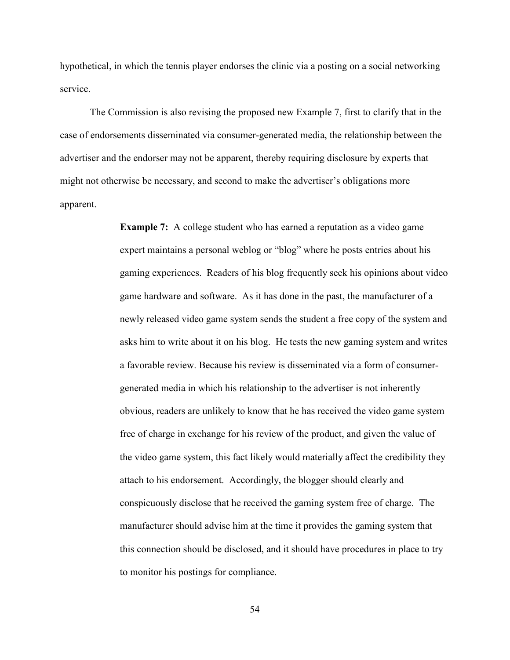hypothetical, in which the tennis player endorses the clinic via a posting on a social networking service.

The Commission is also revising the proposed new Example 7, first to clarify that in the case of endorsements disseminated via consumer-generated media, the relationship between the advertiser and the endorser may not be apparent, thereby requiring disclosure by experts that might not otherwise be necessary, and second to make the advertiser's obligations more apparent.

> **Example 7:** A college student who has earned a reputation as a video game expert maintains a personal weblog or "blog" where he posts entries about his gaming experiences. Readers of his blog frequently seek his opinions about video game hardware and software. As it has done in the past, the manufacturer of a newly released video game system sends the student a free copy of the system and asks him to write about it on his blog. He tests the new gaming system and writes a favorable review. Because his review is disseminated via a form of consumergenerated media in which his relationship to the advertiser is not inherently obvious, readers are unlikely to know that he has received the video game system free of charge in exchange for his review of the product, and given the value of the video game system, this fact likely would materially affect the credibility they attach to his endorsement. Accordingly, the blogger should clearly and conspicuously disclose that he received the gaming system free of charge. The manufacturer should advise him at the time it provides the gaming system that this connection should be disclosed, and it should have procedures in place to try to monitor his postings for compliance.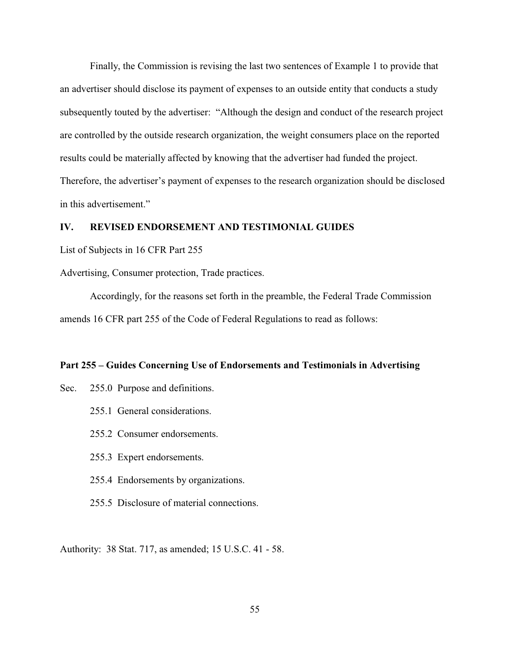Finally, the Commission is revising the last two sentences of Example 1 to provide that an advertiser should disclose its payment of expenses to an outside entity that conducts a study subsequently touted by the advertiser: "Although the design and conduct of the research project are controlled by the outside research organization, the weight consumers place on the reported results could be materially affected by knowing that the advertiser had funded the project. Therefore, the advertiser's payment of expenses to the research organization should be disclosed in this advertisement."

## **IV. REVISED ENDORSEMENT AND TESTIMONIAL GUIDES**

List of Subjects in 16 CFR Part 255

Advertising, Consumer protection, Trade practices.

Accordingly, for the reasons set forth in the preamble, the Federal Trade Commission amends 16 CFR part 255 of the Code of Federal Regulations to read as follows:

#### **Part 255 – Guides Concerning Use of Endorsements and Testimonials in Advertising**

Sec. 255.0 Purpose and definitions.

- 255.1 General considerations.
- 255.2 Consumer endorsements.
- 255.3 Expert endorsements.
- 255.4 Endorsements by organizations.
- 255.5 Disclosure of material connections.

Authority: 38 Stat. 717, as amended; 15 U.S.C. 41 - 58.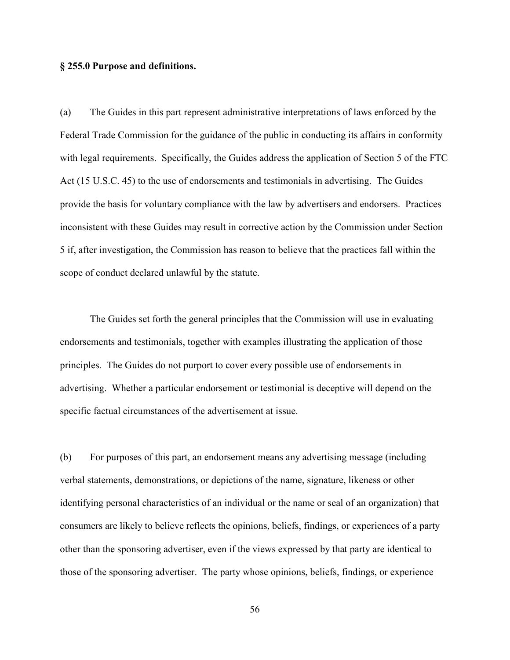#### **§ 255.0 Purpose and definitions.**

(a) The Guides in this part represent administrative interpretations of laws enforced by the Federal Trade Commission for the guidance of the public in conducting its affairs in conformity with legal requirements. Specifically, the Guides address the application of Section 5 of the FTC Act (15 U.S.C. 45) to the use of endorsements and testimonials in advertising. The Guides provide the basis for voluntary compliance with the law by advertisers and endorsers. Practices inconsistent with these Guides may result in corrective action by the Commission under Section 5 if, after investigation, the Commission has reason to believe that the practices fall within the scope of conduct declared unlawful by the statute.

The Guides set forth the general principles that the Commission will use in evaluating endorsements and testimonials, together with examples illustrating the application of those principles. The Guides do not purport to cover every possible use of endorsements in advertising. Whether a particular endorsement or testimonial is deceptive will depend on the specific factual circumstances of the advertisement at issue.

(b) For purposes of this part, an endorsement means any advertising message (including verbal statements, demonstrations, or depictions of the name, signature, likeness or other identifying personal characteristics of an individual or the name or seal of an organization) that consumers are likely to believe reflects the opinions, beliefs, findings, or experiences of a party other than the sponsoring advertiser, even if the views expressed by that party are identical to those of the sponsoring advertiser. The party whose opinions, beliefs, findings, or experience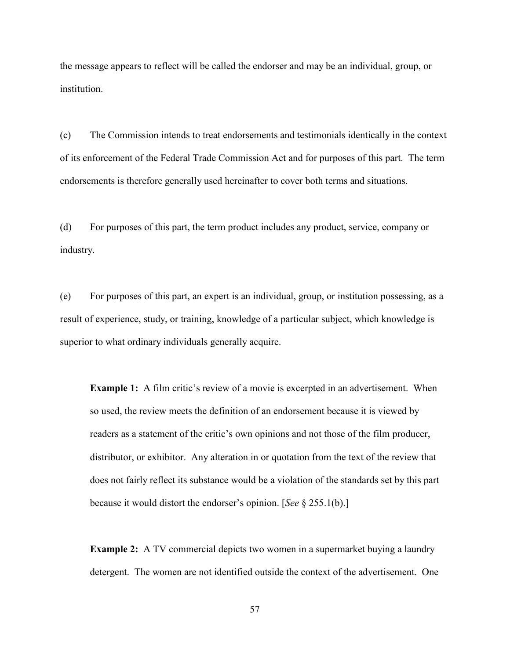the message appears to reflect will be called the endorser and may be an individual, group, or institution.

(c) The Commission intends to treat endorsements and testimonials identically in the context of its enforcement of the Federal Trade Commission Act and for purposes of this part. The term endorsements is therefore generally used hereinafter to cover both terms and situations.

(d) For purposes of this part, the term product includes any product, service, company or industry.

(e) For purposes of this part, an expert is an individual, group, or institution possessing, as a result of experience, study, or training, knowledge of a particular subject, which knowledge is superior to what ordinary individuals generally acquire.

**Example 1:** A film critic's review of a movie is excerpted in an advertisement. When so used, the review meets the definition of an endorsement because it is viewed by readers as a statement of the critic's own opinions and not those of the film producer, distributor, or exhibitor. Any alteration in or quotation from the text of the review that does not fairly reflect its substance would be a violation of the standards set by this part because it would distort the endorser's opinion. [*See* § 255.1(b).]

**Example 2:** A TV commercial depicts two women in a supermarket buying a laundry detergent. The women are not identified outside the context of the advertisement. One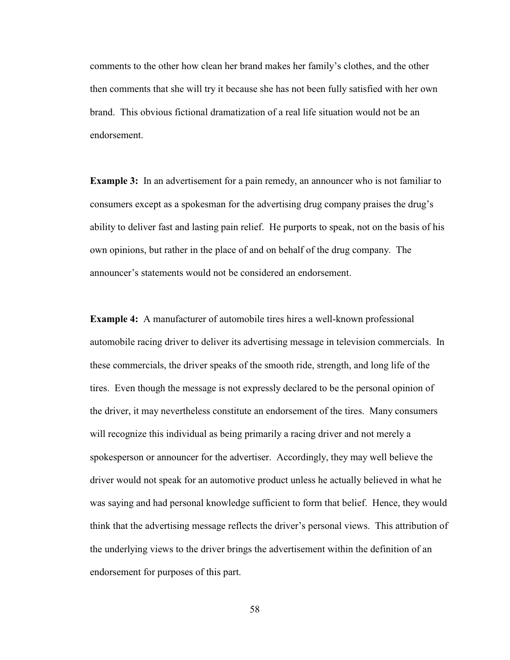comments to the other how clean her brand makes her family's clothes, and the other then comments that she will try it because she has not been fully satisfied with her own brand. This obvious fictional dramatization of a real life situation would not be an endorsement.

**Example 3:** In an advertisement for a pain remedy, an announcer who is not familiar to consumers except as a spokesman for the advertising drug company praises the drug's ability to deliver fast and lasting pain relief. He purports to speak, not on the basis of his own opinions, but rather in the place of and on behalf of the drug company. The announcer's statements would not be considered an endorsement.

**Example 4:** A manufacturer of automobile tires hires a well-known professional automobile racing driver to deliver its advertising message in television commercials. In these commercials, the driver speaks of the smooth ride, strength, and long life of the tires. Even though the message is not expressly declared to be the personal opinion of the driver, it may nevertheless constitute an endorsement of the tires. Many consumers will recognize this individual as being primarily a racing driver and not merely a spokesperson or announcer for the advertiser. Accordingly, they may well believe the driver would not speak for an automotive product unless he actually believed in what he was saying and had personal knowledge sufficient to form that belief. Hence, they would think that the advertising message reflects the driver's personal views. This attribution of the underlying views to the driver brings the advertisement within the definition of an endorsement for purposes of this part.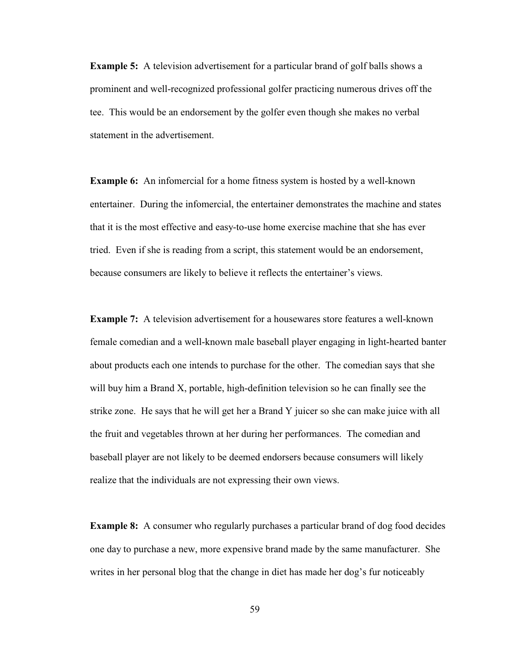**Example 5:** A television advertisement for a particular brand of golf balls shows a prominent and well-recognized professional golfer practicing numerous drives off the tee. This would be an endorsement by the golfer even though she makes no verbal statement in the advertisement.

**Example 6:** An infomercial for a home fitness system is hosted by a well-known entertainer. During the infomercial, the entertainer demonstrates the machine and states that it is the most effective and easy-to-use home exercise machine that she has ever tried. Even if she is reading from a script, this statement would be an endorsement, because consumers are likely to believe it reflects the entertainer's views.

**Example 7:** A television advertisement for a housewares store features a well-known female comedian and a well-known male baseball player engaging in light-hearted banter about products each one intends to purchase for the other. The comedian says that she will buy him a Brand X, portable, high-definition television so he can finally see the strike zone. He says that he will get her a Brand Y juicer so she can make juice with all the fruit and vegetables thrown at her during her performances. The comedian and baseball player are not likely to be deemed endorsers because consumers will likely realize that the individuals are not expressing their own views.

**Example 8:** A consumer who regularly purchases a particular brand of dog food decides one day to purchase a new, more expensive brand made by the same manufacturer. She writes in her personal blog that the change in diet has made her dog's fur noticeably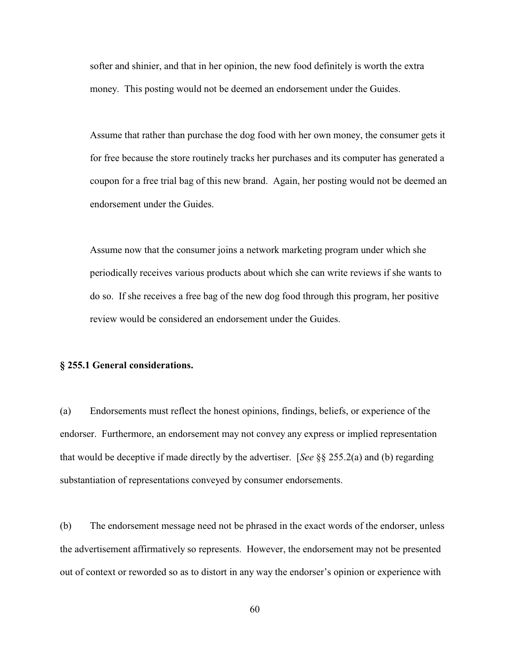softer and shinier, and that in her opinion, the new food definitely is worth the extra money. This posting would not be deemed an endorsement under the Guides.

Assume that rather than purchase the dog food with her own money, the consumer gets it for free because the store routinely tracks her purchases and its computer has generated a coupon for a free trial bag of this new brand. Again, her posting would not be deemed an endorsement under the Guides.

Assume now that the consumer joins a network marketing program under which she periodically receives various products about which she can write reviews if she wants to do so. If she receives a free bag of the new dog food through this program, her positive review would be considered an endorsement under the Guides.

#### **§ 255.1 General considerations.**

(a) Endorsements must reflect the honest opinions, findings, beliefs, or experience of the endorser. Furthermore, an endorsement may not convey any express or implied representation that would be deceptive if made directly by the advertiser. [*See* §§ 255.2(a) and (b) regarding substantiation of representations conveyed by consumer endorsements.

(b) The endorsement message need not be phrased in the exact words of the endorser, unless the advertisement affirmatively so represents. However, the endorsement may not be presented out of context or reworded so as to distort in any way the endorser's opinion or experience with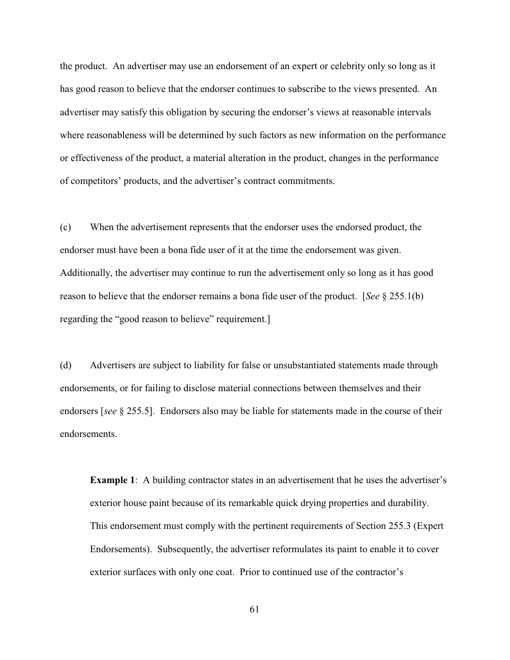the product. An advertiser may use an endorsement of an expert or celebrity only so long as it has good reason to believe that the endorser continues to subscribe to the views presented. An advertiser may satisfy this obligation by securing the endorser's views at reasonable intervals where reasonableness will be determined by such factors as new information on the performance or effectiveness of the product, a material alteration in the product, changes in the performance of competitors' products, and the advertiser's contract commitments.

(c) When the advertisement represents that the endorser uses the endorsed product, the endorser must have been a bona fide user of it at the time the endorsement was given. Additionally, the advertiser may continue to run the advertisement only so long as it has good reason to believe that the endorser remains a bona fide user of the product. [*See* § 255.1(b) regarding the "good reason to believe" requirement.]

(d) Advertisers are subject to liability for false or unsubstantiated statements made through endorsements, or for failing to disclose material connections between themselves and their endorsers [*see* § 255.5]. Endorsers also may be liable for statements made in the course of their endorsements.

**Example 1**: A building contractor states in an advertisement that he uses the advertiser's exterior house paint because of its remarkable quick drying properties and durability. This endorsement must comply with the pertinent requirements of Section 255.3 (Expert Endorsements). Subsequently, the advertiser reformulates its paint to enable it to cover exterior surfaces with only one coat. Prior to continued use of the contractor's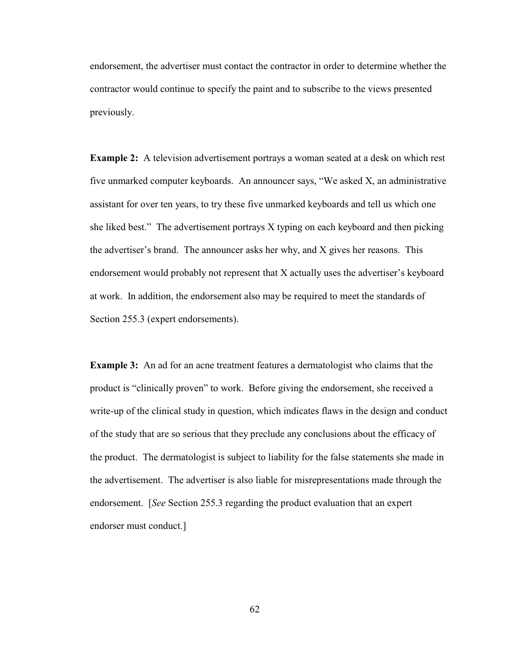endorsement, the advertiser must contact the contractor in order to determine whether the contractor would continue to specify the paint and to subscribe to the views presented previously.

**Example 2:** A television advertisement portrays a woman seated at a desk on which rest five unmarked computer keyboards. An announcer says, "We asked X, an administrative assistant for over ten years, to try these five unmarked keyboards and tell us which one she liked best." The advertisement portrays X typing on each keyboard and then picking the advertiser's brand. The announcer asks her why, and X gives her reasons. This endorsement would probably not represent that X actually uses the advertiser's keyboard at work. In addition, the endorsement also may be required to meet the standards of Section 255.3 (expert endorsements).

**Example 3:** An ad for an acne treatment features a dermatologist who claims that the product is "clinically proven" to work. Before giving the endorsement, she received a write-up of the clinical study in question, which indicates flaws in the design and conduct of the study that are so serious that they preclude any conclusions about the efficacy of the product. The dermatologist is subject to liability for the false statements she made in the advertisement. The advertiser is also liable for misrepresentations made through the endorsement. [*See* Section 255.3 regarding the product evaluation that an expert endorser must conduct.]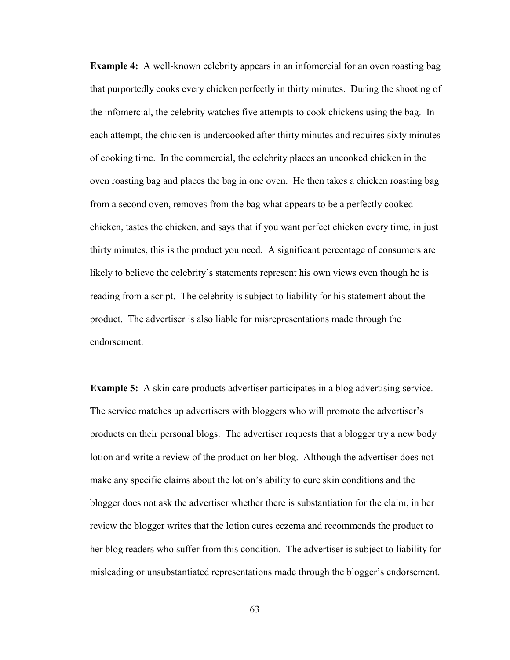**Example 4:** A well-known celebrity appears in an infomercial for an oven roasting bag that purportedly cooks every chicken perfectly in thirty minutes. During the shooting of the infomercial, the celebrity watches five attempts to cook chickens using the bag. In each attempt, the chicken is undercooked after thirty minutes and requires sixty minutes of cooking time. In the commercial, the celebrity places an uncooked chicken in the oven roasting bag and places the bag in one oven. He then takes a chicken roasting bag from a second oven, removes from the bag what appears to be a perfectly cooked chicken, tastes the chicken, and says that if you want perfect chicken every time, in just thirty minutes, this is the product you need. A significant percentage of consumers are likely to believe the celebrity's statements represent his own views even though he is reading from a script. The celebrity is subject to liability for his statement about the product. The advertiser is also liable for misrepresentations made through the endorsement.

**Example 5:** A skin care products advertiser participates in a blog advertising service. The service matches up advertisers with bloggers who will promote the advertiser's products on their personal blogs. The advertiser requests that a blogger try a new body lotion and write a review of the product on her blog. Although the advertiser does not make any specific claims about the lotion's ability to cure skin conditions and the blogger does not ask the advertiser whether there is substantiation for the claim, in her review the blogger writes that the lotion cures eczema and recommends the product to her blog readers who suffer from this condition. The advertiser is subject to liability for misleading or unsubstantiated representations made through the blogger's endorsement.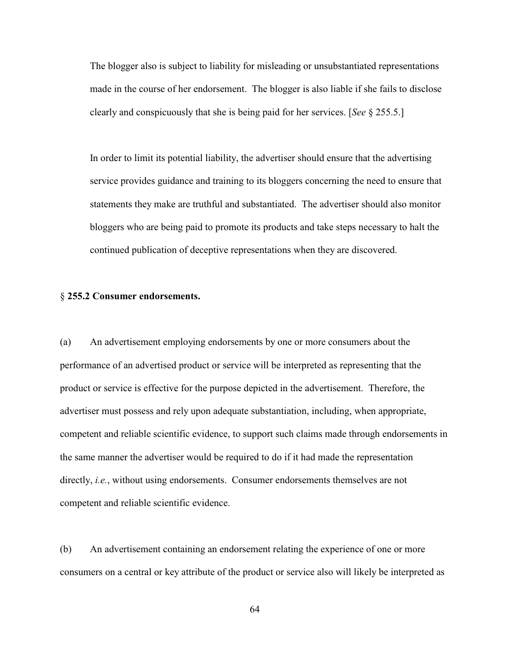The blogger also is subject to liability for misleading or unsubstantiated representations made in the course of her endorsement. The blogger is also liable if she fails to disclose clearly and conspicuously that she is being paid for her services. [*See* § 255.5.]

In order to limit its potential liability, the advertiser should ensure that the advertising service provides guidance and training to its bloggers concerning the need to ensure that statements they make are truthful and substantiated. The advertiser should also monitor bloggers who are being paid to promote its products and take steps necessary to halt the continued publication of deceptive representations when they are discovered.

#### § **255.2 Consumer endorsements.**

(a) An advertisement employing endorsements by one or more consumers about the performance of an advertised product or service will be interpreted as representing that the product or service is effective for the purpose depicted in the advertisement. Therefore, the advertiser must possess and rely upon adequate substantiation, including, when appropriate, competent and reliable scientific evidence, to support such claims made through endorsements in the same manner the advertiser would be required to do if it had made the representation directly, *i.e.*, without using endorsements. Consumer endorsements themselves are not competent and reliable scientific evidence.

(b) An advertisement containing an endorsement relating the experience of one or more consumers on a central or key attribute of the product or service also will likely be interpreted as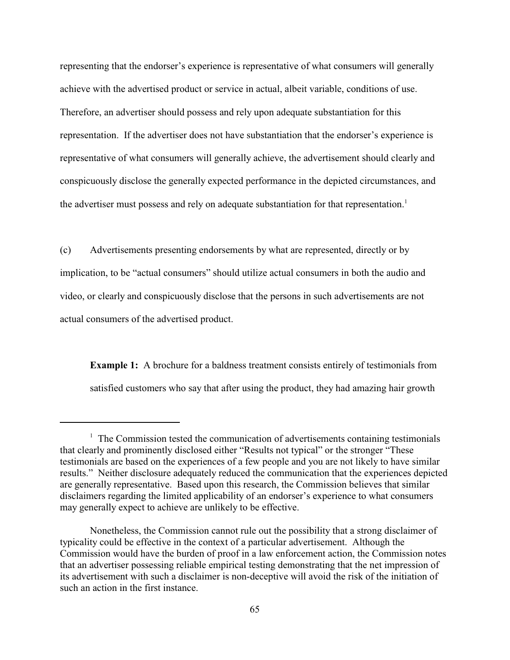representing that the endorser's experience is representative of what consumers will generally achieve with the advertised product or service in actual, albeit variable, conditions of use. Therefore, an advertiser should possess and rely upon adequate substantiation for this representation. If the advertiser does not have substantiation that the endorser's experience is representative of what consumers will generally achieve, the advertisement should clearly and conspicuously disclose the generally expected performance in the depicted circumstances, and the advertiser must possess and rely on adequate substantiation for that representation.<sup>1</sup>

(c) Advertisements presenting endorsements by what are represented, directly or by implication, to be "actual consumers" should utilize actual consumers in both the audio and video, or clearly and conspicuously disclose that the persons in such advertisements are not actual consumers of the advertised product.

**Example 1:** A brochure for a baldness treatment consists entirely of testimonials from satisfied customers who say that after using the product, they had amazing hair growth

 $\frac{1}{1}$  The Commission tested the communication of advertisements containing testimonials that clearly and prominently disclosed either "Results not typical" or the stronger "These testimonials are based on the experiences of a few people and you are not likely to have similar results." Neither disclosure adequately reduced the communication that the experiences depicted are generally representative. Based upon this research, the Commission believes that similar disclaimers regarding the limited applicability of an endorser's experience to what consumers may generally expect to achieve are unlikely to be effective.

Nonetheless, the Commission cannot rule out the possibility that a strong disclaimer of typicality could be effective in the context of a particular advertisement. Although the Commission would have the burden of proof in a law enforcement action, the Commission notes that an advertiser possessing reliable empirical testing demonstrating that the net impression of its advertisement with such a disclaimer is non-deceptive will avoid the risk of the initiation of such an action in the first instance.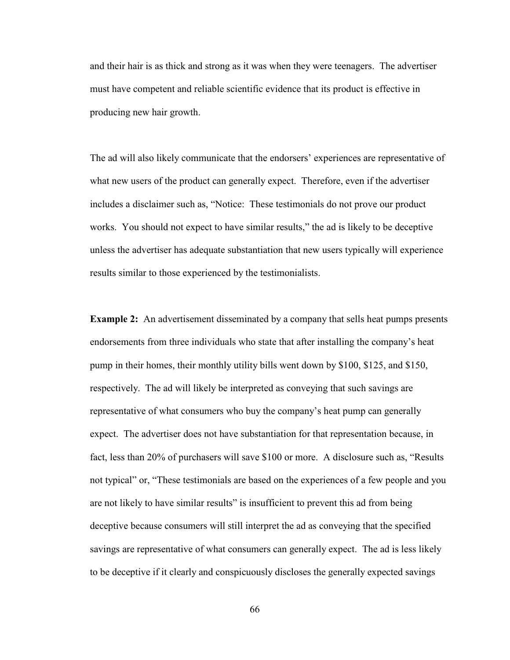and their hair is as thick and strong as it was when they were teenagers. The advertiser must have competent and reliable scientific evidence that its product is effective in producing new hair growth.

The ad will also likely communicate that the endorsers' experiences are representative of what new users of the product can generally expect. Therefore, even if the advertiser includes a disclaimer such as, "Notice: These testimonials do not prove our product works. You should not expect to have similar results," the ad is likely to be deceptive unless the advertiser has adequate substantiation that new users typically will experience results similar to those experienced by the testimonialists.

**Example 2:** An advertisement disseminated by a company that sells heat pumps presents endorsements from three individuals who state that after installing the company's heat pump in their homes, their monthly utility bills went down by \$100, \$125, and \$150, respectively. The ad will likely be interpreted as conveying that such savings are representative of what consumers who buy the company's heat pump can generally expect. The advertiser does not have substantiation for that representation because, in fact, less than 20% of purchasers will save \$100 or more. A disclosure such as, "Results not typical" or, "These testimonials are based on the experiences of a few people and you are not likely to have similar results" is insufficient to prevent this ad from being deceptive because consumers will still interpret the ad as conveying that the specified savings are representative of what consumers can generally expect. The ad is less likely to be deceptive if it clearly and conspicuously discloses the generally expected savings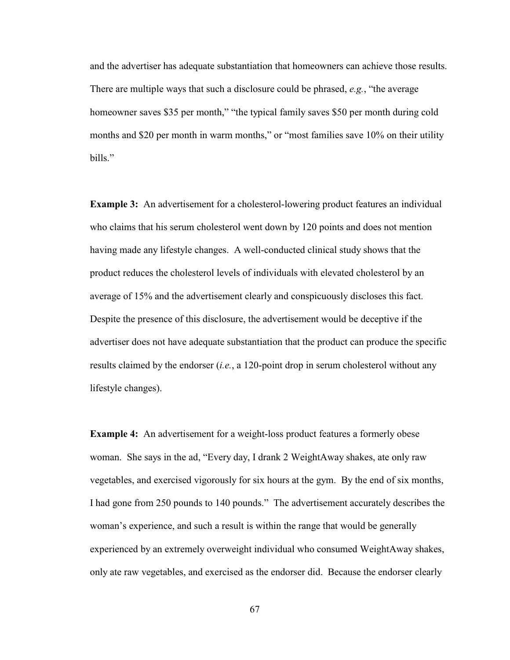and the advertiser has adequate substantiation that homeowners can achieve those results. There are multiple ways that such a disclosure could be phrased, *e.g.*, "the average homeowner saves \$35 per month," "the typical family saves \$50 per month during cold months and \$20 per month in warm months," or "most families save 10% on their utility bills."

**Example 3:** An advertisement for a cholesterol-lowering product features an individual who claims that his serum cholesterol went down by 120 points and does not mention having made any lifestyle changes. A well-conducted clinical study shows that the product reduces the cholesterol levels of individuals with elevated cholesterol by an average of 15% and the advertisement clearly and conspicuously discloses this fact. Despite the presence of this disclosure, the advertisement would be deceptive if the advertiser does not have adequate substantiation that the product can produce the specific results claimed by the endorser (*i.e.*, a 120-point drop in serum cholesterol without any lifestyle changes).

**Example 4:** An advertisement for a weight-loss product features a formerly obese woman. She says in the ad, "Every day, I drank 2 WeightAway shakes, ate only raw vegetables, and exercised vigorously for six hours at the gym. By the end of six months, I had gone from 250 pounds to 140 pounds." The advertisement accurately describes the woman's experience, and such a result is within the range that would be generally experienced by an extremely overweight individual who consumed WeightAway shakes, only ate raw vegetables, and exercised as the endorser did. Because the endorser clearly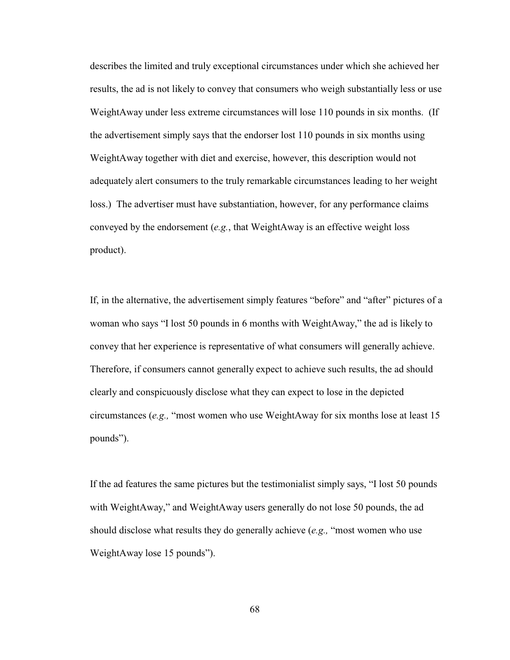describes the limited and truly exceptional circumstances under which she achieved her results, the ad is not likely to convey that consumers who weigh substantially less or use WeightAway under less extreme circumstances will lose 110 pounds in six months. (If the advertisement simply says that the endorser lost 110 pounds in six months using WeightAway together with diet and exercise, however, this description would not adequately alert consumers to the truly remarkable circumstances leading to her weight loss.) The advertiser must have substantiation, however, for any performance claims conveyed by the endorsement (*e.g.*, that WeightAway is an effective weight loss product).

If, in the alternative, the advertisement simply features "before" and "after" pictures of a woman who says "I lost 50 pounds in 6 months with WeightAway," the ad is likely to convey that her experience is representative of what consumers will generally achieve. Therefore, if consumers cannot generally expect to achieve such results, the ad should clearly and conspicuously disclose what they can expect to lose in the depicted circumstances (*e.g.,* "most women who use WeightAway for six months lose at least 15 pounds").

If the ad features the same pictures but the testimonialist simply says, "I lost 50 pounds with WeightAway," and WeightAway users generally do not lose 50 pounds, the ad should disclose what results they do generally achieve (*e.g.,* "most women who use WeightAway lose 15 pounds").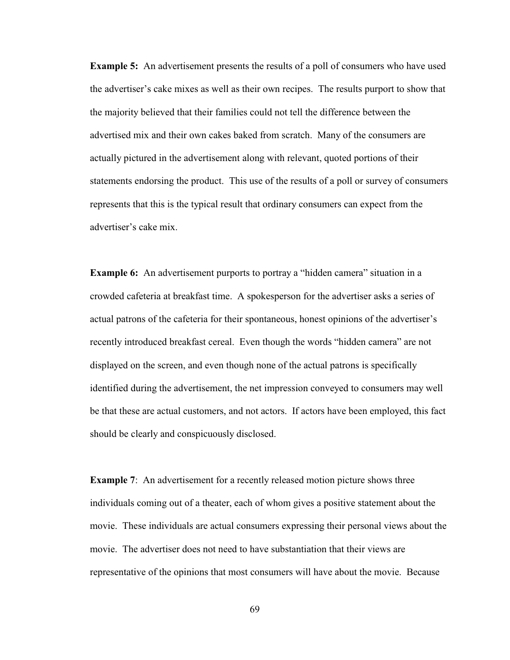**Example 5:** An advertisement presents the results of a poll of consumers who have used the advertiser's cake mixes as well as their own recipes. The results purport to show that the majority believed that their families could not tell the difference between the advertised mix and their own cakes baked from scratch. Many of the consumers are actually pictured in the advertisement along with relevant, quoted portions of their statements endorsing the product. This use of the results of a poll or survey of consumers represents that this is the typical result that ordinary consumers can expect from the advertiser's cake mix.

**Example 6:** An advertisement purports to portray a "hidden camera" situation in a crowded cafeteria at breakfast time. A spokesperson for the advertiser asks a series of actual patrons of the cafeteria for their spontaneous, honest opinions of the advertiser's recently introduced breakfast cereal. Even though the words "hidden camera" are not displayed on the screen, and even though none of the actual patrons is specifically identified during the advertisement, the net impression conveyed to consumers may well be that these are actual customers, and not actors. If actors have been employed, this fact should be clearly and conspicuously disclosed.

**Example 7:** An advertisement for a recently released motion picture shows three individuals coming out of a theater, each of whom gives a positive statement about the movie. These individuals are actual consumers expressing their personal views about the movie. The advertiser does not need to have substantiation that their views are representative of the opinions that most consumers will have about the movie. Because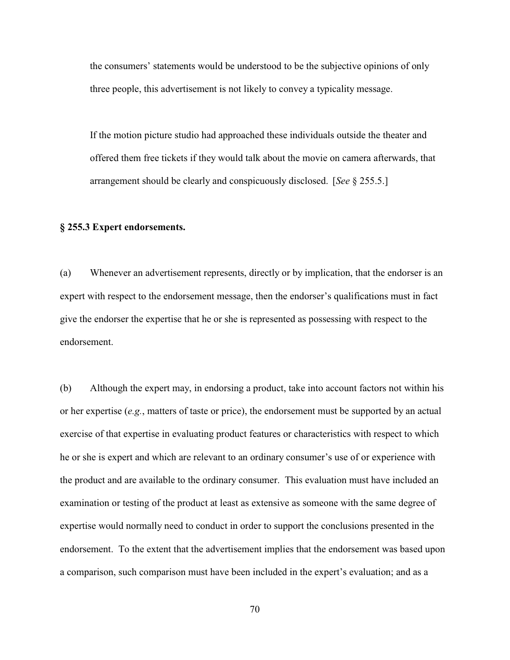the consumers' statements would be understood to be the subjective opinions of only three people, this advertisement is not likely to convey a typicality message.

If the motion picture studio had approached these individuals outside the theater and offered them free tickets if they would talk about the movie on camera afterwards, that arrangement should be clearly and conspicuously disclosed. [*See* § 255.5.]

### **§ 255.3 Expert endorsements.**

(a) Whenever an advertisement represents, directly or by implication, that the endorser is an expert with respect to the endorsement message, then the endorser's qualifications must in fact give the endorser the expertise that he or she is represented as possessing with respect to the endorsement.

(b) Although the expert may, in endorsing a product, take into account factors not within his or her expertise (*e.g.*, matters of taste or price), the endorsement must be supported by an actual exercise of that expertise in evaluating product features or characteristics with respect to which he or she is expert and which are relevant to an ordinary consumer's use of or experience with the product and are available to the ordinary consumer. This evaluation must have included an examination or testing of the product at least as extensive as someone with the same degree of expertise would normally need to conduct in order to support the conclusions presented in the endorsement. To the extent that the advertisement implies that the endorsement was based upon a comparison, such comparison must have been included in the expert's evaluation; and as a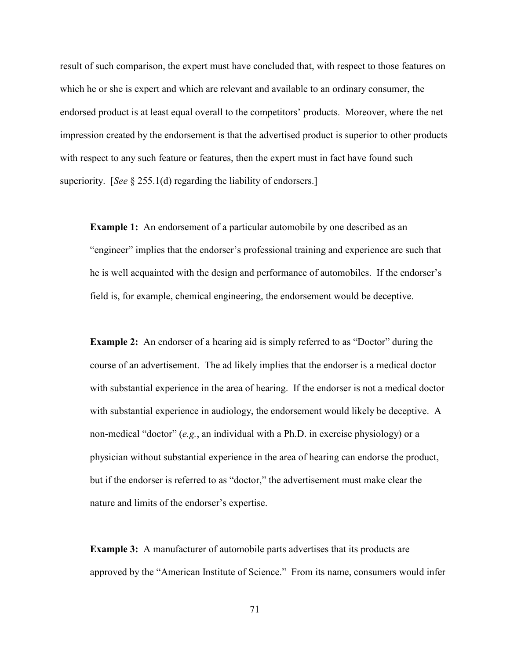result of such comparison, the expert must have concluded that, with respect to those features on which he or she is expert and which are relevant and available to an ordinary consumer, the endorsed product is at least equal overall to the competitors' products. Moreover, where the net impression created by the endorsement is that the advertised product is superior to other products with respect to any such feature or features, then the expert must in fact have found such superiority. [*See* § 255.1(d) regarding the liability of endorsers.]

**Example 1:** An endorsement of a particular automobile by one described as an "engineer" implies that the endorser's professional training and experience are such that he is well acquainted with the design and performance of automobiles. If the endorser's field is, for example, chemical engineering, the endorsement would be deceptive.

**Example 2:** An endorser of a hearing aid is simply referred to as "Doctor" during the course of an advertisement. The ad likely implies that the endorser is a medical doctor with substantial experience in the area of hearing. If the endorser is not a medical doctor with substantial experience in audiology, the endorsement would likely be deceptive. A non-medical "doctor" (*e.g.*, an individual with a Ph.D. in exercise physiology) or a physician without substantial experience in the area of hearing can endorse the product, but if the endorser is referred to as "doctor," the advertisement must make clear the nature and limits of the endorser's expertise.

**Example 3:** A manufacturer of automobile parts advertises that its products are approved by the "American Institute of Science." From its name, consumers would infer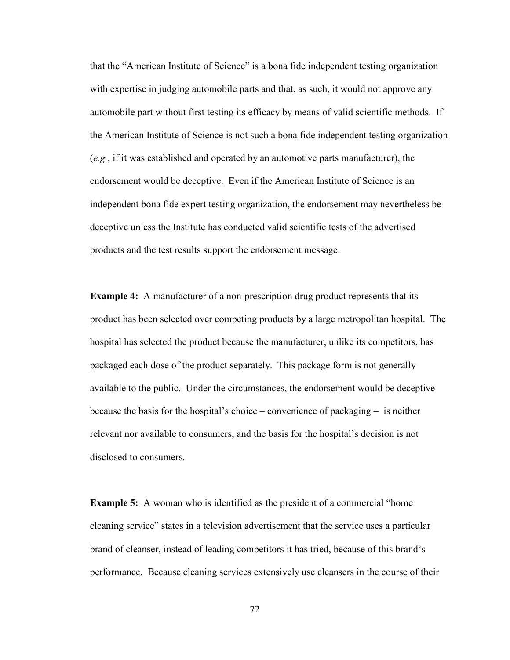that the "American Institute of Science" is a bona fide independent testing organization with expertise in judging automobile parts and that, as such, it would not approve any automobile part without first testing its efficacy by means of valid scientific methods. If the American Institute of Science is not such a bona fide independent testing organization (*e.g.*, if it was established and operated by an automotive parts manufacturer), the endorsement would be deceptive. Even if the American Institute of Science is an independent bona fide expert testing organization, the endorsement may nevertheless be deceptive unless the Institute has conducted valid scientific tests of the advertised products and the test results support the endorsement message.

**Example 4:** A manufacturer of a non-prescription drug product represents that its product has been selected over competing products by a large metropolitan hospital. The hospital has selected the product because the manufacturer, unlike its competitors, has packaged each dose of the product separately. This package form is not generally available to the public. Under the circumstances, the endorsement would be deceptive because the basis for the hospital's choice – convenience of packaging – is neither relevant nor available to consumers, and the basis for the hospital's decision is not disclosed to consumers.

**Example 5:** A woman who is identified as the president of a commercial "home cleaning service" states in a television advertisement that the service uses a particular brand of cleanser, instead of leading competitors it has tried, because of this brand's performance. Because cleaning services extensively use cleansers in the course of their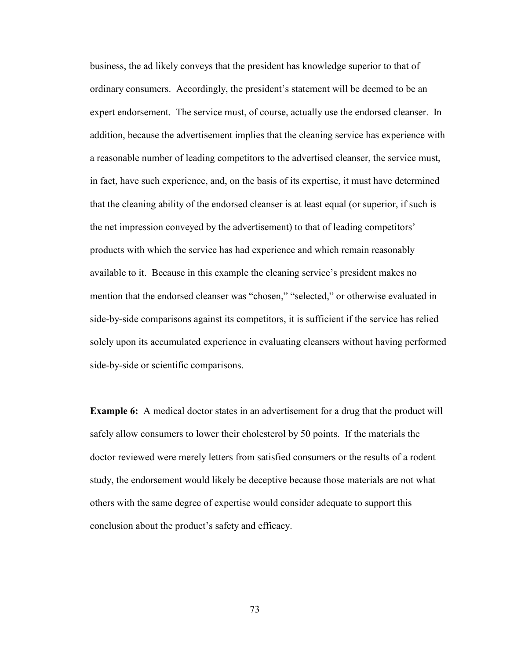business, the ad likely conveys that the president has knowledge superior to that of ordinary consumers. Accordingly, the president's statement will be deemed to be an expert endorsement. The service must, of course, actually use the endorsed cleanser. In addition, because the advertisement implies that the cleaning service has experience with a reasonable number of leading competitors to the advertised cleanser, the service must, in fact, have such experience, and, on the basis of its expertise, it must have determined that the cleaning ability of the endorsed cleanser is at least equal (or superior, if such is the net impression conveyed by the advertisement) to that of leading competitors' products with which the service has had experience and which remain reasonably available to it. Because in this example the cleaning service's president makes no mention that the endorsed cleanser was "chosen," "selected," or otherwise evaluated in side-by-side comparisons against its competitors, it is sufficient if the service has relied solely upon its accumulated experience in evaluating cleansers without having performed side-by-side or scientific comparisons.

**Example 6:** A medical doctor states in an advertisement for a drug that the product will safely allow consumers to lower their cholesterol by 50 points. If the materials the doctor reviewed were merely letters from satisfied consumers or the results of a rodent study, the endorsement would likely be deceptive because those materials are not what others with the same degree of expertise would consider adequate to support this conclusion about the product's safety and efficacy.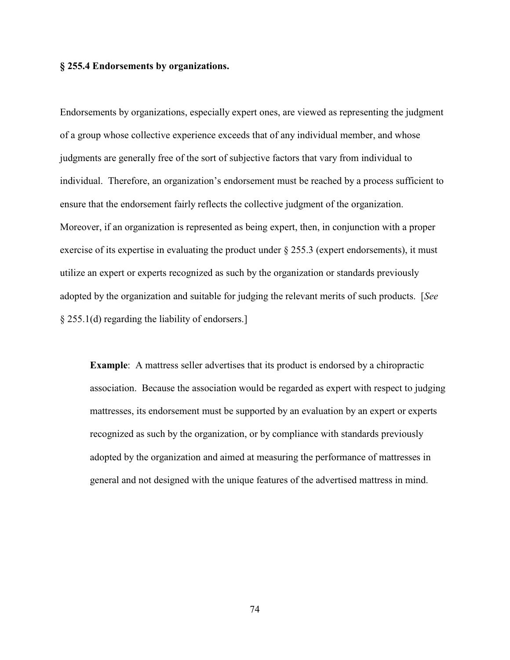## **§ 255.4 Endorsements by organizations.**

Endorsements by organizations, especially expert ones, are viewed as representing the judgment of a group whose collective experience exceeds that of any individual member, and whose judgments are generally free of the sort of subjective factors that vary from individual to individual. Therefore, an organization's endorsement must be reached by a process sufficient to ensure that the endorsement fairly reflects the collective judgment of the organization. Moreover, if an organization is represented as being expert, then, in conjunction with a proper exercise of its expertise in evaluating the product under § 255.3 (expert endorsements), it must utilize an expert or experts recognized as such by the organization or standards previously adopted by the organization and suitable for judging the relevant merits of such products. [*See* § 255.1(d) regarding the liability of endorsers.]

**Example**: A mattress seller advertises that its product is endorsed by a chiropractic association. Because the association would be regarded as expert with respect to judging mattresses, its endorsement must be supported by an evaluation by an expert or experts recognized as such by the organization, or by compliance with standards previously adopted by the organization and aimed at measuring the performance of mattresses in general and not designed with the unique features of the advertised mattress in mind.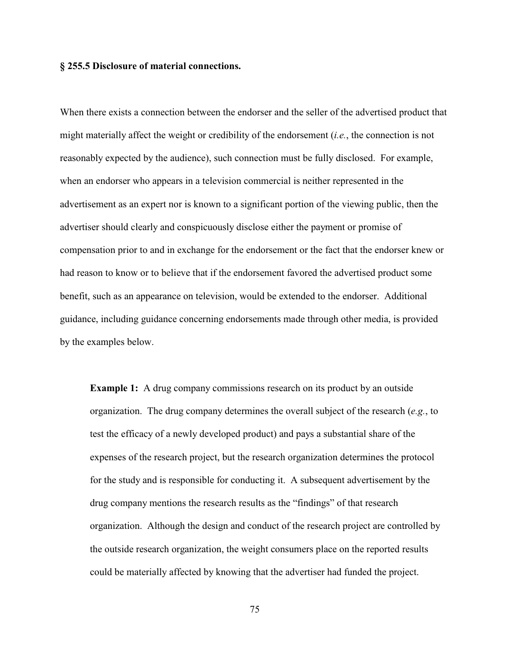## **§ 255.5 Disclosure of material connections.**

When there exists a connection between the endorser and the seller of the advertised product that might materially affect the weight or credibility of the endorsement (*i.e.*, the connection is not reasonably expected by the audience), such connection must be fully disclosed. For example, when an endorser who appears in a television commercial is neither represented in the advertisement as an expert nor is known to a significant portion of the viewing public, then the advertiser should clearly and conspicuously disclose either the payment or promise of compensation prior to and in exchange for the endorsement or the fact that the endorser knew or had reason to know or to believe that if the endorsement favored the advertised product some benefit, such as an appearance on television, would be extended to the endorser. Additional guidance, including guidance concerning endorsements made through other media, is provided by the examples below.

**Example 1:** A drug company commissions research on its product by an outside organization. The drug company determines the overall subject of the research (*e.g.*, to test the efficacy of a newly developed product) and pays a substantial share of the expenses of the research project, but the research organization determines the protocol for the study and is responsible for conducting it. A subsequent advertisement by the drug company mentions the research results as the "findings" of that research organization. Although the design and conduct of the research project are controlled by the outside research organization, the weight consumers place on the reported results could be materially affected by knowing that the advertiser had funded the project.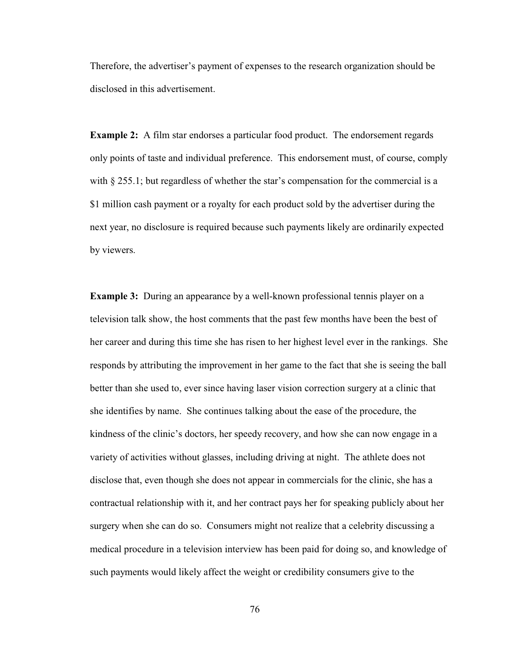Therefore, the advertiser's payment of expenses to the research organization should be disclosed in this advertisement.

**Example 2:** A film star endorses a particular food product. The endorsement regards only points of taste and individual preference. This endorsement must, of course, comply with § 255.1; but regardless of whether the star's compensation for the commercial is a \$1 million cash payment or a royalty for each product sold by the advertiser during the next year, no disclosure is required because such payments likely are ordinarily expected by viewers.

**Example 3:** During an appearance by a well-known professional tennis player on a television talk show, the host comments that the past few months have been the best of her career and during this time she has risen to her highest level ever in the rankings. She responds by attributing the improvement in her game to the fact that she is seeing the ball better than she used to, ever since having laser vision correction surgery at a clinic that she identifies by name. She continues talking about the ease of the procedure, the kindness of the clinic's doctors, her speedy recovery, and how she can now engage in a variety of activities without glasses, including driving at night. The athlete does not disclose that, even though she does not appear in commercials for the clinic, she has a contractual relationship with it, and her contract pays her for speaking publicly about her surgery when she can do so. Consumers might not realize that a celebrity discussing a medical procedure in a television interview has been paid for doing so, and knowledge of such payments would likely affect the weight or credibility consumers give to the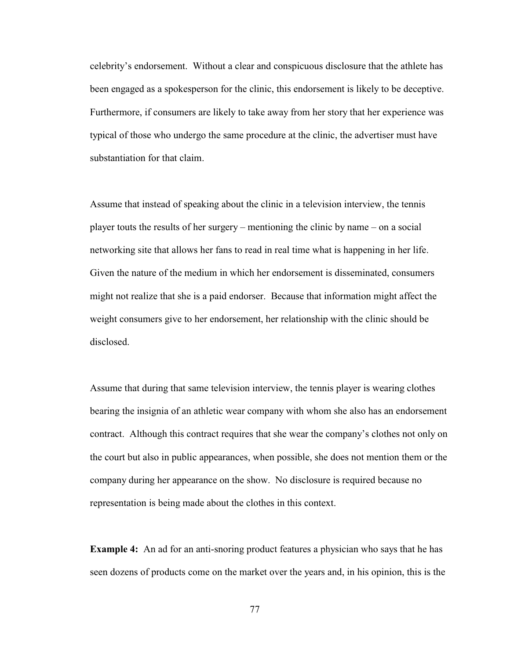celebrity's endorsement. Without a clear and conspicuous disclosure that the athlete has been engaged as a spokesperson for the clinic, this endorsement is likely to be deceptive. Furthermore, if consumers are likely to take away from her story that her experience was typical of those who undergo the same procedure at the clinic, the advertiser must have substantiation for that claim.

Assume that instead of speaking about the clinic in a television interview, the tennis player touts the results of her surgery – mentioning the clinic by name – on a social networking site that allows her fans to read in real time what is happening in her life. Given the nature of the medium in which her endorsement is disseminated, consumers might not realize that she is a paid endorser. Because that information might affect the weight consumers give to her endorsement, her relationship with the clinic should be disclosed.

Assume that during that same television interview, the tennis player is wearing clothes bearing the insignia of an athletic wear company with whom she also has an endorsement contract. Although this contract requires that she wear the company's clothes not only on the court but also in public appearances, when possible, she does not mention them or the company during her appearance on the show. No disclosure is required because no representation is being made about the clothes in this context.

**Example 4:** An ad for an anti-snoring product features a physician who says that he has seen dozens of products come on the market over the years and, in his opinion, this is the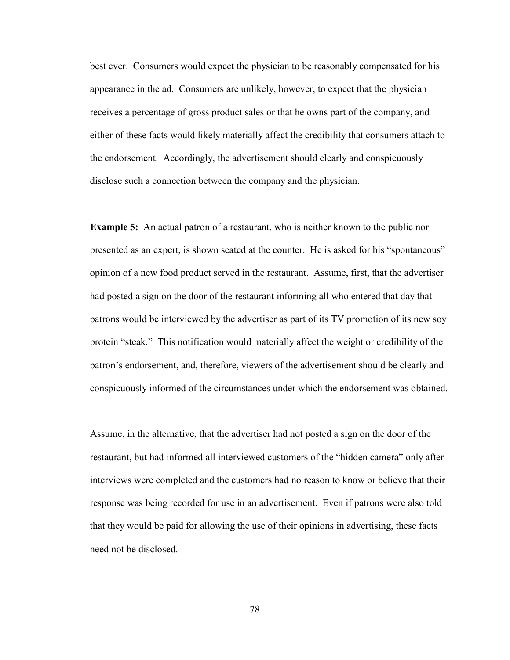best ever. Consumers would expect the physician to be reasonably compensated for his appearance in the ad. Consumers are unlikely, however, to expect that the physician receives a percentage of gross product sales or that he owns part of the company, and either of these facts would likely materially affect the credibility that consumers attach to the endorsement. Accordingly, the advertisement should clearly and conspicuously disclose such a connection between the company and the physician.

**Example 5:** An actual patron of a restaurant, who is neither known to the public nor presented as an expert, is shown seated at the counter. He is asked for his "spontaneous" opinion of a new food product served in the restaurant. Assume, first, that the advertiser had posted a sign on the door of the restaurant informing all who entered that day that patrons would be interviewed by the advertiser as part of its TV promotion of its new soy protein "steak." This notification would materially affect the weight or credibility of the patron's endorsement, and, therefore, viewers of the advertisement should be clearly and conspicuously informed of the circumstances under which the endorsement was obtained.

Assume, in the alternative, that the advertiser had not posted a sign on the door of the restaurant, but had informed all interviewed customers of the "hidden camera" only after interviews were completed and the customers had no reason to know or believe that their response was being recorded for use in an advertisement. Even if patrons were also told that they would be paid for allowing the use of their opinions in advertising, these facts need not be disclosed.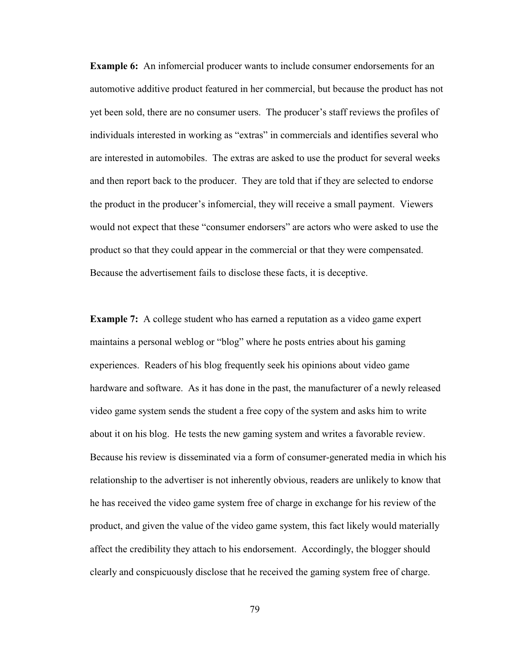**Example 6:** An infomercial producer wants to include consumer endorsements for an automotive additive product featured in her commercial, but because the product has not yet been sold, there are no consumer users. The producer's staff reviews the profiles of individuals interested in working as "extras" in commercials and identifies several who are interested in automobiles. The extras are asked to use the product for several weeks and then report back to the producer. They are told that if they are selected to endorse the product in the producer's infomercial, they will receive a small payment. Viewers would not expect that these "consumer endorsers" are actors who were asked to use the product so that they could appear in the commercial or that they were compensated. Because the advertisement fails to disclose these facts, it is deceptive.

**Example 7:** A college student who has earned a reputation as a video game expert maintains a personal weblog or "blog" where he posts entries about his gaming experiences. Readers of his blog frequently seek his opinions about video game hardware and software. As it has done in the past, the manufacturer of a newly released video game system sends the student a free copy of the system and asks him to write about it on his blog. He tests the new gaming system and writes a favorable review. Because his review is disseminated via a form of consumer-generated media in which his relationship to the advertiser is not inherently obvious, readers are unlikely to know that he has received the video game system free of charge in exchange for his review of the product, and given the value of the video game system, this fact likely would materially affect the credibility they attach to his endorsement. Accordingly, the blogger should clearly and conspicuously disclose that he received the gaming system free of charge.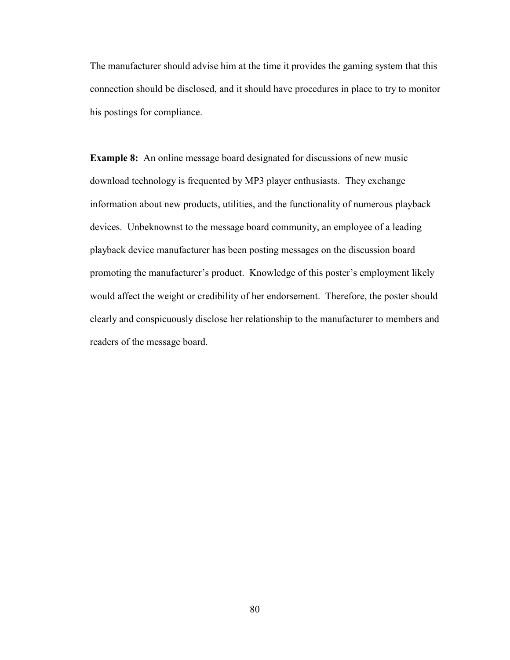The manufacturer should advise him at the time it provides the gaming system that this connection should be disclosed, and it should have procedures in place to try to monitor his postings for compliance.

**Example 8:** An online message board designated for discussions of new music download technology is frequented by MP3 player enthusiasts. They exchange information about new products, utilities, and the functionality of numerous playback devices. Unbeknownst to the message board community, an employee of a leading playback device manufacturer has been posting messages on the discussion board promoting the manufacturer's product. Knowledge of this poster's employment likely would affect the weight or credibility of her endorsement. Therefore, the poster should clearly and conspicuously disclose her relationship to the manufacturer to members and readers of the message board.